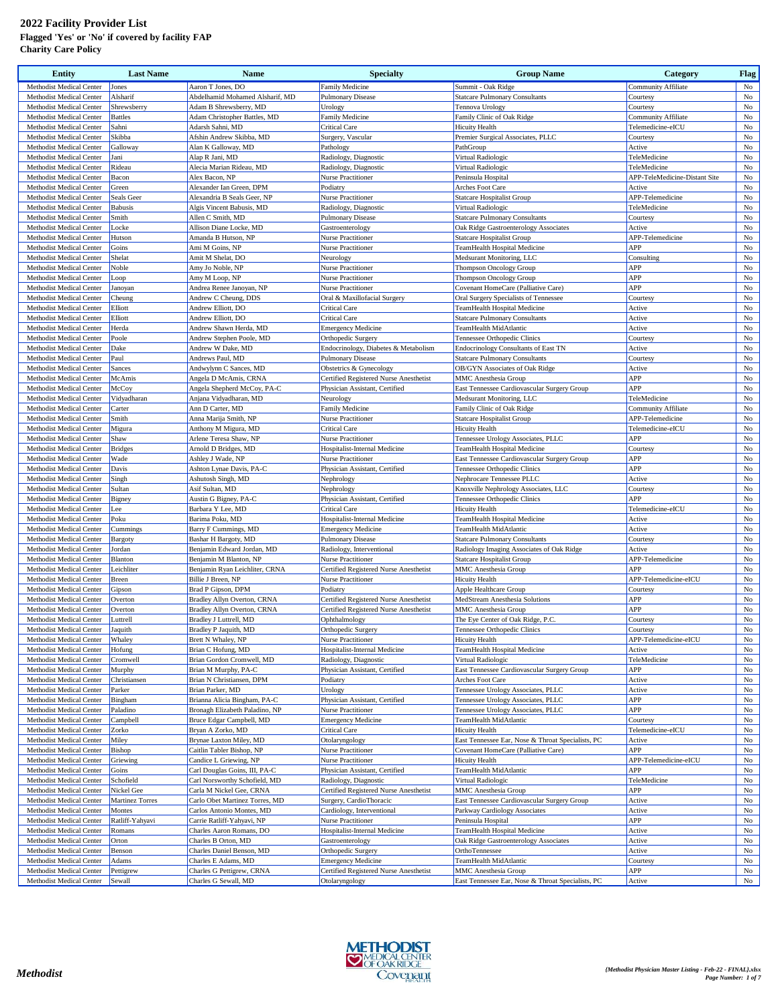## **2022 Facility Provider List Flagged 'Yes' or 'No' if covered by facility FAP Charity Care Policy**

| <b>Entity</b>                                               | <b>Last Name</b>   | Name                                                    | <b>Specialty</b>                                     | <b>Group Name</b>                                                     | Category                                      | <b>Flag</b>       |
|-------------------------------------------------------------|--------------------|---------------------------------------------------------|------------------------------------------------------|-----------------------------------------------------------------------|-----------------------------------------------|-------------------|
| Methodist Medical Center                                    | Jones              | Aaron T Jones, DO                                       | Family Medicine                                      | Summit - Oak Ridge                                                    | <b>Community Affiliate</b>                    | No                |
| Methodist Medical Center                                    | Alsharif           | Abdelhamid Mohamed Alsharif, MD                         | <b>Pulmonary Disease</b>                             | <b>Statcare Pulmonary Consultants</b>                                 | Courtesy                                      | $_{\rm No}$       |
| Methodist Medical Center                                    | Shrewsberry        | Adam B Shrewsberry, MD                                  | Urology                                              | Tennova Urology                                                       | Courtesy                                      | No                |
| Methodist Medical Center                                    | <b>Battles</b>     | Adam Christopher Battles, MD                            | Family Medicine                                      | Family Clinic of Oak Ridge                                            | Community Affiliate                           | No                |
| Methodist Medical Center                                    | Sahni              | Adarsh Sahni, MD                                        | <b>Critical Care</b>                                 | <b>Hicuity Health</b>                                                 | Telemedicine-eICU                             | No                |
| Methodist Medical Center                                    | Skibba             | Afshin Andrew Skibba, MD                                | Surgery, Vascular                                    | Premier Surgical Associates, PLLC                                     | Courtesy                                      | No                |
| Methodist Medical Center                                    | Galloway           | Alan K Galloway, MD                                     | Pathology                                            | PathGroup                                                             | Active                                        | No                |
| Methodist Medical Center                                    | Jani               | Alap R Jani, MD                                         | Radiology, Diagnostic                                | Virtual Radiologic                                                    | TeleMedicine                                  | No                |
| Methodist Medical Center<br>Methodist Medical Center        | Rideau<br>Bacon    | Alecia Marian Rideau, MD<br>Alex Bacon, NP              | Radiology, Diagnostic<br>Nurse Practitioner          | Virtual Radiologic<br>Peninsula Hospital                              | TeleMedicine<br>APP-TeleMedicine-Distant Site | No<br>No          |
| <b>Methodist Medical Center</b>                             | Green              | Alexander Ian Green, DPM                                | Podiatry                                             | Arches Foot Care                                                      | Active                                        | No                |
| Methodist Medical Center                                    | Seals Geer         | Alexandria B Seals Geer, NP                             | Nurse Practitioner                                   | <b>Statcare Hospitalist Group</b>                                     | APP-Telemedicine                              | No                |
| Methodist Medical Center                                    | <b>Babusis</b>     | Algis Vincent Babusis, MD                               | Radiology, Diagnostic                                | Virtual Radiologic                                                    | TeleMedicine                                  | $_{\rm No}$       |
| Methodist Medical Center                                    | Smith              | Allen C Smith, MD                                       | <b>Pulmonary Disease</b>                             | <b>Statcare Pulmonary Consultants</b>                                 | Courtesy                                      | No                |
| Methodist Medical Center                                    | Locke              | Allison Diane Locke, MD                                 | Gastroenterology                                     | Oak Ridge Gastroenterology Associates                                 | Active                                        | No                |
| Methodist Medical Center                                    | Hutson             | Amanda B Hutson, NP                                     | <b>Nurse Practitioner</b>                            | <b>Statcare Hospitalist Group</b>                                     | APP-Telemedicine                              | $_{\rm No}$       |
| Methodist Medical Center                                    | Goins              | Ami M Goins, NP                                         | Nurse Practitioner                                   | TeamHealth Hospital Medicine                                          | APP                                           | No                |
| Methodist Medical Center                                    | Shelat             | Amit M Shelat, DO                                       | Neurology                                            | Medsurant Monitoring, LLC                                             | Consulting                                    | No                |
| Methodist Medical Center                                    | Noble              | Amy Jo Noble, NP                                        | Nurse Practitioner                                   | Thompson Oncology Group                                               | APP                                           | No                |
| Methodist Medical Center                                    | Loop               | Amy M Loop, NP                                          | Nurse Practitioner                                   | <b>Thompson Oncology Group</b>                                        | APP                                           | No                |
| Methodist Medical Center                                    | Janoyan            | Andrea Renee Janoyan, NP                                | Nurse Practitioner                                   | Covenant HomeCare (Palliative Care)                                   | APP                                           | No                |
| <b>Methodist Medical Center</b>                             | Cheung             | Andrew C Cheung, DDS                                    | Oral & Maxillofacial Surgery                         | Oral Surgery Specialists of Tennessee                                 | Courtesy                                      | No                |
| Methodist Medical Center                                    | Elliott            | Andrew Elliott, DO                                      | <b>Critical Care</b><br><b>Critical Care</b>         | TeamHealth Hospital Medicine<br><b>Statcare Pulmonary Consultants</b> | Active                                        | No<br>No          |
| Methodist Medical Center<br>Methodist Medical Center        | Elliott<br>Herda   | Andrew Elliott, DO<br>Andrew Shawn Herda, MD            |                                                      | TeamHealth MidAtlantic                                                | Active<br>Active                              | No                |
| Methodist Medical Center                                    | Poole              | Andrew Stephen Poole, MD                                | <b>Emergency Medicine</b><br>Orthopedic Surgery      | Tennessee Orthopedic Clinics                                          | Courtesy                                      | No                |
| Methodist Medical Center                                    | Dake               | Andrew W Dake, MD                                       | Endocrinology, Diabetes & Metabolism                 | Endocrinology Consultants of East TN                                  | Active                                        | $_{\rm No}$       |
| Methodist Medical Center                                    | Paul               | Andrews Paul, MD                                        | <b>Pulmonary Disease</b>                             | <b>Statcare Pulmonary Consultants</b>                                 | <b>Courtesy</b>                               | No                |
| Methodist Medical Center                                    | Sances             | Andwylynn C Sances, MD                                  | Obstetrics & Gynecology                              | OB/GYN Associates of Oak Ridge                                        | Active                                        | No                |
| <b>Methodist Medical Center</b>                             | McAmis             | Angela D McAmis, CRNA                                   | Certified Registered Nurse Anesthetist               | MMC Anesthesia Group                                                  | APP                                           | No                |
| Methodist Medical Center                                    | McCoy              | Angela Shepherd McCoy, PA-C                             | Physician Assistant, Certified                       | East Tennessee Cardiovascular Surgery Group                           | APP                                           | No                |
| Methodist Medical Center                                    | Vidyadharan        | Anjana Vidyadharan, MD                                  | Neurology                                            | Medsurant Monitoring, LLC                                             | TeleMedicine                                  | No                |
| Methodist Medical Center                                    | Carter             | Ann D Carter, MD                                        | Family Medicine                                      | Family Clinic of Oak Ridge                                            | <b>Community Affiliate</b>                    | No                |
| Methodist Medical Center                                    | Smith              | Anna Marija Smith, NP                                   | Nurse Practitioner                                   | Statcare Hospitalist Group                                            | APP-Telemedicine                              | No                |
| Methodist Medical Center                                    | Migura             | Anthony M Migura, MD                                    | <b>Critical Care</b>                                 | <b>Hicuity Health</b>                                                 | Telemedicine-eICU                             | No                |
| <b>Methodist Medical Center</b>                             | Shaw               | Arlene Teresa Shaw, NP                                  | Nurse Practitioner                                   | Tennessee Urology Associates, PLLC                                    | APP                                           | No                |
| Methodist Medical Center                                    | <b>Bridges</b>     | Arnold D Bridges, MD                                    | Hospitalist-Internal Medicine                        | TeamHealth Hospital Medicine                                          | Courtesy                                      | No                |
| Methodist Medical Center                                    | Wade               | Ashley J Wade, NP                                       | Nurse Practitioner                                   | East Tennessee Cardiovascular Surgery Group                           | APP                                           | No                |
| Methodist Medical Center                                    | Davis              | Ashton Lynae Davis, PA-C                                | Physician Assistant, Certified                       | Tennessee Orthopedic Clinics                                          | APP                                           | No                |
| Methodist Medical Center<br>Methodist Medical Center        | Singh<br>Sultan    | Ashutosh Singh, MD<br>Asif Sultan, MD                   | Nephrology<br>Nephrology                             | Nephrocare Tennessee PLLC<br>Knoxville Nephrology Associates, LLC     | Active<br>Courtesy                            | No<br>$_{\rm No}$ |
| Methodist Medical Center                                    | Bigney             | Austin G Bigney, PA-C                                   | Physician Assistant, Certified                       | Tennessee Orthopedic Clinics                                          | APP                                           | $_{\rm No}$       |
| Methodist Medical Center                                    | Lee                | Barbara Y Lee, MD                                       | <b>Critical Care</b>                                 | <b>Hicuity Health</b>                                                 | Telemedicine-eICU                             | No                |
| Methodist Medical Center                                    | Poku               | Barima Poku, MD                                         | Hospitalist-Internal Medicine                        | TeamHealth Hospital Medicine                                          | Active                                        | No                |
| Methodist Medical Center                                    | Cummings           | Barry F Cummings, MD                                    | <b>Emergency Medicine</b>                            | TeamHealth MidAtlantic                                                | Active                                        | No                |
| Methodist Medical Center                                    | Bargoty            | Bashar H Bargoty, MD                                    | <b>Pulmonary Disease</b>                             | <b>Statcare Pulmonary Consultants</b>                                 | Courtesy                                      | No                |
| Methodist Medical Center                                    | Jordan             | Benjamin Edward Jordan, MD                              | Radiology, Interventional                            | Radiology Imaging Associates of Oak Ridge                             | Active                                        | No                |
| Methodist Medical Center                                    | Blanton            | Benjamin M Blanton, NP                                  | Nurse Practitioner                                   | <b>Statcare Hospitalist Group</b>                                     | APP-Telemedicine                              | No                |
| Methodist Medical Center                                    | Leichliter         | Benjamin Ryan Leichliter, CRNA                          | Certified Registered Nurse Anesthetist               | <b>MMC</b> Anesthesia Group                                           | APP                                           | No                |
| Methodist Medical Center                                    | Breen              | Billie J Breen, NP                                      | Nurse Practitioner                                   | <b>Hicuity Health</b>                                                 | APP-Telemedicine-eICU                         | No                |
| Methodist Medical Center                                    | Gipson             | Brad P Gipson, DPM                                      | Podiatry                                             | Apple Healthcare Group                                                | Courtesy                                      | No                |
| Methodist Medical Center                                    | Overton            | Bradley Allyn Overton, CRNA                             | Certified Registered Nurse Anesthetist               | MedStream Anesthesia Solutions                                        | APP                                           | No                |
| Methodist Medical Center                                    | Overton            | Bradley Allyn Overton, CRNA                             | Certified Registered Nurse Anesthetist               | MMC Anesthesia Group                                                  | APP                                           | No                |
| Methodist Medical Center                                    | Luttrell           | Bradley J Luttrell, MD                                  | Ophthalmology                                        | The Eye Center of Oak Ridge, P.C.                                     | Courtesy                                      | No                |
| Methodist Medical Center<br>Methodist Medical Center Whaley | Jaquith            | Bradley P Jaquith, MD<br>Brett N Whaley, NP             | Orthopedic Surgery                                   | Tennessee Orthopedic Clinics                                          | Courtesy                                      | No                |
| Methodist Medical Center                                    | Hofung             | Brian C Hofung, MD                                      | Nurse Practitioner<br>Hospitalist-Internal Medicine  | Hicuity Health<br>TeamHealth Hospital Medicine                        | APP-Telemedicine-eICU<br>Active               | No<br>No          |
| Methodist Medical Center                                    | Cromwell           | Brian Gordon Cromwell, MD                               | Radiology, Diagnostic                                | Virtual Radiologic                                                    | TeleMedicine                                  | No                |
| Methodist Medical Center                                    | Murphy             | Brian M Murphy, PA-C                                    | Physician Assistant, Certified                       | East Tennessee Cardiovascular Surgery Group                           | APP                                           | No                |
| Methodist Medical Center                                    | Christiansen       | Brian N Christiansen, DPM                               | Podiatry                                             | Arches Foot Care                                                      | Active                                        | No                |
| Methodist Medical Center                                    | Parker             | Brian Parker, MD                                        | Urology                                              | Tennessee Urology Associates, PLLC                                    | Active                                        | No                |
| Methodist Medical Center                                    | Bingham            | Brianna Alicia Bingham, PA-C                            | Physician Assistant, Certified                       | Tennessee Urology Associates, PLLC                                    | APP                                           | No                |
| Methodist Medical Center                                    | Paladino           | Bronagh Elizabeth Paladino, NP                          | Nurse Practitioner                                   | Tennessee Urology Associates, PLLC                                    | APP                                           | No                |
| Methodist Medical Center                                    | Campbell           | Bruce Edgar Campbell, MD                                | <b>Emergency Medicine</b>                            | TeamHealth MidAtlantic                                                | Courtesy                                      | No                |
| Methodist Medical Center                                    | Zorko              | Bryan A Zorko, MD                                       | Critical Care                                        | <b>Hicuity Health</b>                                                 | Telemedicine-eICU                             | No                |
| Methodist Medical Center                                    | Miley              | Brynae Laxton Miley, MD                                 | Otolaryngology                                       | East Tennessee Ear, Nose & Throat Specialists, PC                     | Active                                        | No                |
| Methodist Medical Center                                    | Bishop             | Caitlin Tabler Bishop, NP                               | Nurse Practitioner                                   | Covenant HomeCare (Palliative Care)                                   | APP                                           | No                |
| Methodist Medical Center                                    | Griewing           | Candice L Griewing, NP<br>Carl Douglas Goins, III, PA-C | Nurse Practitioner<br>Physician Assistant, Certified | <b>Hicuity Health</b>                                                 | APP-Telemedicine-eICU<br>APP                  | No                |
| Methodist Medical Center<br>Methodist Medical Center        | Goins<br>Schofield | Carl Norsworthy Schofield, MD                           | Radiology, Diagnostic                                | TeamHealth MidAtlantic<br>Virtual Radiologic                          | TeleMedicine                                  | No<br>No          |
| Methodist Medical Center                                    | Nickel Gee         | Carla M Nickel Gee, CRNA                                | Certified Registered Nurse Anesthetist               | MMC Anesthesia Group                                                  | APP                                           | No                |
| Methodist Medical Center                                    | Martinez Torres    | Carlo Obet Martinez Torres, MD                          | Surgery, CardioThoracic                              | East Tennessee Cardiovascular Surgery Group                           | Active                                        | No                |
| Methodist Medical Center                                    | Montes             | Carlos Antonio Montes, MD                               | Cardiology, Interventional                           | Parkway Cardiology Associates                                         | Active                                        | No                |
| Methodist Medical Center                                    | Ratliff-Yahyavi    | Carrie Ratliff-Yahyavi, NP                              | Nurse Practitioner                                   | Peninsula Hospital                                                    | APP                                           | No                |
| Methodist Medical Center                                    | Romans             | Charles Aaron Romans, DO                                | Hospitalist-Internal Medicine                        | TeamHealth Hospital Medicine                                          | Active                                        | No                |
| Methodist Medical Center                                    | Orton              | Charles B Orton, MD                                     | Gastroenterology                                     | Oak Ridge Gastroenterology Associates                                 | Active                                        | No                |
| Methodist Medical Center                                    | Benson             | Charles Daniel Benson, MD                               | Orthopedic Surgery                                   | OrthoTennessee                                                        | Active                                        | No                |
| Methodist Medical Center                                    | Adams              | Charles E Adams, MD                                     | <b>Emergency Medicine</b>                            | TeamHealth MidAtlantic                                                | Courtesy                                      | No                |
| Methodist Medical Center                                    | Pettigrew          | Charles G Pettigrew, CRNA                               | Certified Registered Nurse Anesthetist               | <b>MMC</b> Anesthesia Group                                           | APP                                           | No                |
| Methodist Medical Center                                    | Sewall             | Charles G Sewall, MD                                    | Otolaryngology                                       | East Tennessee Ear, Nose & Throat Specialists, PC                     | Active                                        | No                |

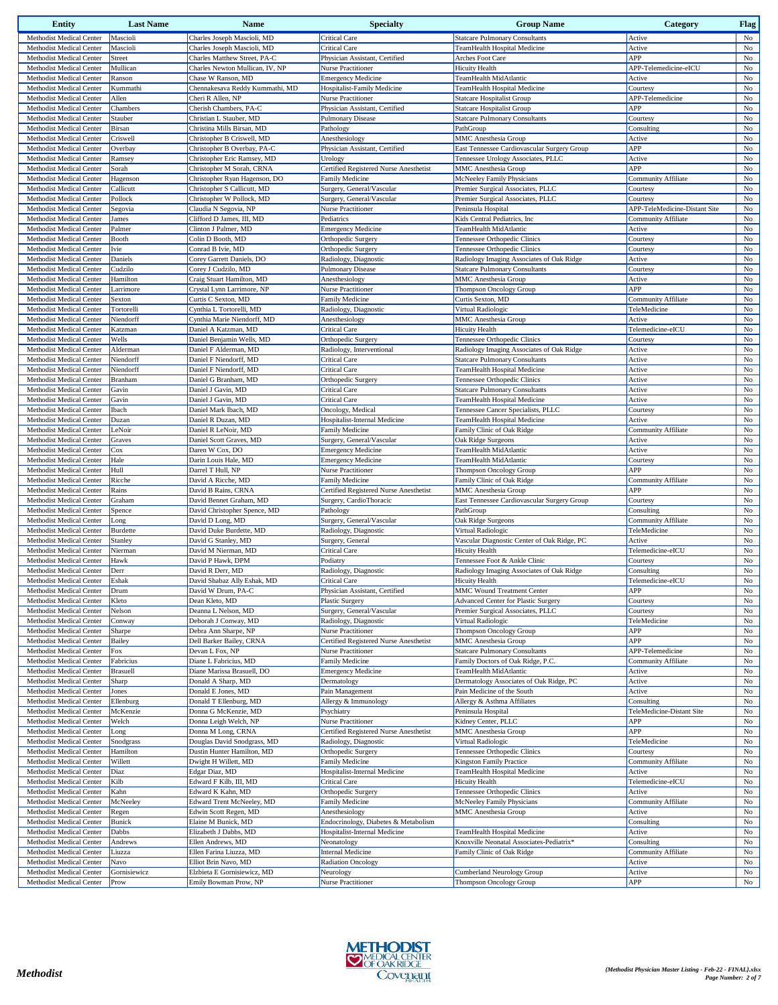| <b>Entity</b>                                        | <b>Last Name</b> | Name                                           | <b>Specialty</b>                                       | <b>Group Name</b>                            | Category                             | <b>Flag</b>       |
|------------------------------------------------------|------------------|------------------------------------------------|--------------------------------------------------------|----------------------------------------------|--------------------------------------|-------------------|
| Methodist Medical Center                             | Mascioli         | Charles Joseph Mascioli, MD                    | <b>Critical Care</b>                                   | <b>Statcare Pulmonary Consultants</b>        | Active                               | No                |
| Methodist Medical Center                             | Mascioli         | Charles Joseph Mascioli, MD                    | <b>Critical Care</b>                                   | TeamHealth Hospital Medicine                 | Active                               | No                |
| Methodist Medical Center                             | Street           | Charles Matthew Street, PA-C                   | Physician Assistant, Certified                         | Arches Foot Care                             | APP                                  | $_{\rm No}$       |
| Methodist Medical Center                             | Mullican         | Charles Newton Mullican, IV, NP                | <b>Nurse Practitioner</b>                              | <b>Hicuity Health</b>                        | APP-Telemedicine-eICU                | No                |
| Methodist Medical Center                             | Ranson           | Chase W Ranson, MD                             | <b>Emergency Medicine</b>                              | TeamHealth MidAtlantic                       | Active                               | No                |
| Methodist Medical Center                             | Kummathi         | Chennakesava Reddy Kummathi, MD                | Hospitalist-Family Medicine                            | TeamHealth Hospital Medicine                 | Courtesy                             | $_{\rm No}$       |
| Methodist Medical Center                             | Allen            | Cheri R Allen, NP                              | Nurse Practitioner                                     | <b>Statcare Hospitalist Group</b>            | APP-Telemedicine                     | $_{\rm No}$       |
| Methodist Medical Center                             | Chambers         | Cherish Chambers, PA-C                         | Physician Assistant, Certified                         | <b>Statcare Hospitalist Group</b>            | APP                                  | No                |
| Methodist Medical Center                             | Stauber          | Christian L Stauber, MD                        | <b>Pulmonary Disease</b>                               | <b>Statcare Pulmonary Consultants</b>        | Courtesy                             | No                |
| Methodist Medical Center                             | Birsan           | Christina Mills Birsan, MD                     | Pathology                                              | PathGroup                                    | Consulting                           | $_{\rm No}$       |
| Methodist Medical Center                             | Criswell         | Christopher B Criswell, MD                     | Anesthesiology                                         | MMC Anesthesia Group                         | Active                               | No                |
| Methodist Medical Center                             | Overbay          | Christopher B Overbay, PA-C                    | Physician Assistant, Certified                         | East Tennessee Cardiovascular Surgery Group  | APP                                  | $_{\rm No}$       |
| Methodist Medical Center                             | Ramsey           | Christopher Eric Ramsey, MD                    | Urology                                                | Tennessee Urology Associates, PLLC           | Active                               | $_{\rm No}$       |
| Methodist Medical Center                             | Sorah            | Christopher M Sorah, CRNA                      | Certified Registered Nurse Anesthetist                 | MMC Anesthesia Group                         | APP                                  | No                |
| Methodist Medical Center                             | Hagenson         | Christopher Ryan Hagenson, DO                  | <b>Family Medicine</b>                                 | McNeeley Family Physicians                   | <b>Community Affiliate</b>           | $_{\rm No}$       |
| Methodist Medical Center                             | Callicutt        | Christopher S Callicutt, MD                    | Surgery, General/Vascular                              | Premier Surgical Associates, PLLC            | Courtesy                             | No                |
| Methodist Medical Center                             | Pollock          | Christopher W Pollock, MD                      | Surgery, General/Vascular                              | Premier Surgical Associates, PLLC            | Courtesy                             | $_{\rm No}$       |
| Methodist Medical Center                             | Segovia          | Claudia N Segovia, NP                          | <b>Nurse Practitioner</b>                              | Peninsula Hospital                           | APP-TeleMedicine-Distant Site        | No                |
| Methodist Medical Center                             | James            | Clifford D James, III, MD                      | Pediatrics                                             | Kids Central Pediatrics, Inc                 | Community Affiliate                  | No                |
| Methodist Medical Center                             | Palmer           | Clinton J Palmer, MD                           | <b>Emergency Medicine</b>                              | TeamHealth MidAtlantic                       | Active                               | $_{\rm No}$       |
| Methodist Medical Center                             | Booth            | Colin D Booth, MD                              | Orthopedic Surgery                                     | Tennessee Orthopedic Clinics                 | Courtesy                             | $_{\rm No}$       |
| Methodist Medical Center                             | Ivie             | Conrad B Ivie, MD                              | Orthopedic Surgery                                     | Tennessee Orthopedic Clinics                 | Courtesy                             | No                |
| Methodist Medical Center                             | Daniels          | Corey Garrett Daniels, DO                      | Radiology, Diagnostic                                  | Radiology Imaging Associates of Oak Ridge    | Active                               | $_{\rm No}$       |
| Methodist Medical Center                             | Cudzilo          | Corey J Cudzilo, MD                            | <b>Pulmonary Disease</b>                               | <b>Statcare Pulmonary Consultants</b>        | Courtesy                             | $_{\rm No}$       |
| Methodist Medical Center                             | Hamilton         | Craig Stuart Hamilton, MD                      | Anesthesiology                                         | MMC Anesthesia Group                         | Active                               | $_{\rm No}$       |
| Methodist Medical Center                             | Larrimore        | Crystal Lynn Larrimore, NP                     | <b>Nurse Practitioner</b>                              | <b>Thompson Oncology Group</b>               | APP                                  | $_{\rm No}$       |
| Methodist Medical Center                             | Sexton           | Curtis C Sexton, MD                            | Family Medicine                                        | Curtis Sexton, MD                            | Community Affiliate                  | No                |
| Methodist Medical Center                             | Tortorelli       | Cynthia L Tortorelli, MD                       | Radiology, Diagnostic                                  | Virtual Radiologic                           | TeleMedicine                         | No                |
| Methodist Medical Center                             | Niendorff        | Cynthia Marie Niendorff, MD                    | Anesthesiology                                         | MMC Anesthesia Group                         | Active                               | $_{\rm No}$       |
| Methodist Medical Center                             | Katzman          | Daniel A Katzman, MD                           | <b>Critical Care</b>                                   | <b>Hicuity Health</b>                        | Telemedicine-eICU                    | $_{\rm No}$       |
| Methodist Medical Center                             | Wells            | Daniel Benjamin Wells, MD                      | Orthopedic Surgery                                     | Tennessee Orthopedic Clinics                 | Courtesy                             | $_{\rm No}$       |
| Methodist Medical Center                             | Alderman         | Daniel F Alderman, MD                          | Radiology, Interventional                              | Radiology Imaging Associates of Oak Ridge    | Active                               | $_{\rm No}$       |
| Methodist Medical Center                             | Niendorff        | Daniel F Niendorff, MD                         | <b>Critical Care</b>                                   | <b>Statcare Pulmonary Consultants</b>        | Active                               | No                |
| Methodist Medical Center                             | Niendorff        | Daniel F Niendorff, MD                         | <b>Critical Care</b>                                   | TeamHealth Hospital Medicine                 | Active                               | $_{\rm No}$       |
| Methodist Medical Center                             | Branham          | Daniel G Branham, MD                           | Orthopedic Surgery                                     | Tennessee Orthopedic Clinics                 | Active                               | $_{\rm No}$       |
| Methodist Medical Center                             | Gavin            | Daniel J Gavin, MD                             | <b>Critical Care</b>                                   | <b>Statcare Pulmonary Consultants</b>        | Active                               | No                |
| Methodist Medical Center                             | Gavin            | Daniel J Gavin, MD                             | <b>Critical Care</b>                                   | TeamHealth Hospital Medicine                 | Active                               | $_{\rm No}$       |
| Methodist Medical Center                             | Ibach            | Daniel Mark Ibach, MD                          | Oncology, Medical                                      | Tennessee Cancer Specialists, PLLC           | Courtesy                             | $_{\rm No}$       |
| Methodist Medical Center                             | Duzan            | Daniel R Duzan, MD                             | Hospitalist-Internal Medicine                          | TeamHealth Hospital Medicine                 | Active                               | $_{\rm No}$       |
| Methodist Medical Center<br>Methodist Medical Center | LeNoir           | Daniel R LeNoir, MD<br>Daniel Scott Graves, MD | <b>Family Medicine</b>                                 | Family Clinic of Oak Ridge                   | <b>Community Affiliate</b><br>Active | $_{\rm No}$<br>No |
| Methodist Medical Center                             | Graves<br>Cox    | Daren W Cox, DO                                | Surgery, General/Vascular<br><b>Emergency Medicine</b> | Oak Ridge Surgeons<br>TeamHealth MidAtlantic | Active                               | $_{\rm No}$       |
| Methodist Medical Center                             | Hale             | Darin Louis Hale, MD                           | <b>Emergency Medicine</b>                              | TeamHealth MidAtlantic                       | Courtesy                             | $_{\rm No}$       |
| Methodist Medical Center                             | Hull             | Darrel T Hull, NP                              | Nurse Practitioner                                     | <b>Thompson Oncology Group</b>               | APP                                  | $_{\rm No}$       |
| Methodist Medical Center                             | Ricche           | David A Ricche, MD                             | Family Medicine                                        | Family Clinic of Oak Ridge                   | Community Affiliate                  | $_{\rm No}$       |
| Methodist Medical Center                             | Rains            | David B Rains, CRNA                            | Certified Registered Nurse Anesthetist                 | MMC Anesthesia Group                         | APP                                  | $_{\rm No}$       |
| Methodist Medical Center                             | Graham           | David Bennet Graham, MD                        | Surgery, CardioThoracic                                | East Tennessee Cardiovascular Surgery Group  | Courtesy                             | No                |
| Methodist Medical Center                             | Spence           | David Christopher Spence, MD                   | Pathology                                              | PathGroup                                    | Consulting                           | No                |
| Methodist Medical Center                             | Long             | David D Long, MD                               | Surgery, General/Vascular                              | Oak Ridge Surgeons                           | Community Affiliate                  | $_{\rm No}$       |
| Methodist Medical Center                             | <b>Burdette</b>  | David Duke Burdette, MD                        | Radiology, Diagnostic                                  | Virtual Radiologic                           | TeleMedicine                         | No                |
| Methodist Medical Center                             | Stanley          | David G Stanley, MD                            | Surgery, General                                       | Vascular Diagnostic Center of Oak Ridge, PC  | Active                               | $_{\rm No}$       |
| Methodist Medical Center                             | Nierman          | David M Nierman, MD                            | Critical Care                                          | <b>Hicuity Health</b>                        | Telemedicine-eICU                    | $_{\rm No}$       |
| Methodist Medical Center                             | Hawk             | David P Hawk, DPM                              | Podiatry                                               | Tennessee Foot & Ankle Clinic                | Courtesy                             | $_{\rm No}$       |
| Methodist Medical Center                             | Derr             | David R Derr, MD                               | Radiology, Diagnostic                                  | Radiology Imaging Associates of Oak Ridge    | Consulting                           | No                |
| Methodist Medical Center                             | Eshak            | David Shabaz Ally Eshak, MD                    | Critical Care                                          | <b>Hicuity Health</b>                        | Telemedicine-eICU                    | $_{\rm No}$       |
| Methodist Medical Center                             | Drum             | David W Drum, PA-C                             | Physician Assistant, Certified                         | MMC Wound Treatment Center                   | APP                                  | No                |
| Methodist Medical Center                             | Kleto            | Dean Kleto, MD                                 | <b>Plastic Surgery</b>                                 | Advanced Center for Plastic Surgery          | Courtesy                             | No                |
| Methodist Medical Center                             | Nelson           | Deanna L Nelson, MD                            | Surgery, General/Vascular                              | Premier Surgical Associates, PLLC            | Courtesy                             | No                |
| Methodist Medical Center                             | Conway           | Deborah J Conway, MD                           | Radiology, Diagnostic                                  | Virtual Radiologic                           | TeleMedicine                         | $_{\rm No}$       |
| Methodist Medical Center                             | Sharpe           | Debra Ann Sharpe, NP                           | Nurse Practitioner                                     | <b>Thompson Oncology Group</b>               | APP                                  | No                |
| Methodist Medical Center                             | Bailey           | Dell Barker Bailey, CRNA                       | Certified Registered Nurse Anesthetist                 | MMC Anesthesia Group                         | APP                                  | No                |
| Methodist Medical Center                             | Fox              | Devan L Fox, NP                                | Nurse Practitioner                                     | <b>Statcare Pulmonary Consultants</b>        | APP-Telemedicine                     | $_{\rm No}$       |
| Methodist Medical Center                             | Fabricius        | Diane L Fabricius, MD                          | Family Medicine                                        | Family Doctors of Oak Ridge, P.C.            | Community Affiliate                  | No                |
| Methodist Medical Center                             | <b>Brasuell</b>  | Diane Marissa Brasuell, DO                     | <b>Emergency Medicine</b>                              | TeamHealth MidAtlantic                       | Active                               | $_{\rm No}$       |
| Methodist Medical Center                             | Sharp            | Donald A Sharp, MD                             | Dermatology                                            | Dermatology Associates of Oak Ridge, PC      | Active                               | No                |
| Methodist Medical Center                             | Jones            | Donald E Jones, MD                             | Pain Management                                        | Pain Medicine of the South                   | Active                               | No                |
| Methodist Medical Center                             | Ellenburg        | Donald T Ellenburg, MD                         | Allergy & Immunology                                   | Allergy & Asthma Affiliates                  | Consulting                           | No                |
| Methodist Medical Center                             | McKenzie         | Donna G McKenzie, MD                           | Psychiatry                                             | Peninsula Hospital                           | TeleMedicine-Distant Site            | No                |
| Methodist Medical Center                             | Welch            | Donna Leigh Welch, NP                          | Nurse Practitioner                                     | Kidney Center, PLLC                          | APP                                  | $_{\rm No}$       |
| Methodist Medical Center                             | Long             | Donna M Long, CRNA                             | Certified Registered Nurse Anesthetist                 | MMC Anesthesia Group                         | APP                                  | $_{\rm No}$       |
| Methodist Medical Center                             | Snodgrass        | Douglas David Snodgrass, MD                    | Radiology, Diagnostic                                  | Virtual Radiologic                           | TeleMedicine                         | No                |
| Methodist Medical Center                             | Hamilton         | Dustin Hunter Hamilton, MD                     | Orthopedic Surgery                                     | Tennessee Orthopedic Clinics                 | Courtesy                             | No                |
| Methodist Medical Center                             | Willett          | Dwight H Willett, MD                           | Family Medicine                                        | <b>Kingston Family Practice</b>              | Community Affiliate                  | No                |
| Methodist Medical Center                             | Diaz             | Edgar Diaz, MD                                 | Hospitalist-Internal Medicine                          | TeamHealth Hospital Medicine                 | Active                               | No                |
| Methodist Medical Center                             | Kilb             | Edward F Kilb, III, MD                         | <b>Critical Care</b>                                   | <b>Hicuity Health</b>                        | Telemedicine-eICU                    | No                |
| Methodist Medical Center                             | Kahn             | Edward K Kahn, MD                              | Orthopedic Surgery                                     | Tennessee Orthopedic Clinics                 | Active                               | $_{\rm No}$       |
| Methodist Medical Center                             | McNeeley         | Edward Trent McNeeley, MD                      | Family Medicine                                        | McNeeley Family Physicians                   | Community Affiliate                  | No                |
| Methodist Medical Center                             | Regen            | Edwin Scott Regen, MD                          | Anesthesiology                                         | MMC Anesthesia Group                         | Active                               | $_{\rm No}$       |
| Methodist Medical Center                             | Bunick           | Elaine M Bunick, MD                            | Endocrinology, Diabetes & Metabolism                   |                                              | Consulting                           | $_{\rm No}$       |
| Methodist Medical Center                             | Dabbs            | Elizabeth J Dabbs, MD                          | Hospitalist-Internal Medicine                          | TeamHealth Hospital Medicine                 | Active                               | No                |
| Methodist Medical Center                             | Andrews          | Ellen Andrews, MD                              | Neonatology                                            | Knoxville Neonatal Associates-Pediatrix*     | Consulting                           | No                |
| Methodist Medical Center                             | Liuzza           | Ellen Farina Liuzza, MD                        | <b>Internal Medicine</b>                               | Family Clinic of Oak Ridge                   | Community Affiliate                  | No                |
| Methodist Medical Center                             | Navo             | Elliot Brin Navo, MD                           | <b>Radiation Oncology</b>                              |                                              | Active                               | No                |
| Methodist Medical Center                             | Gornisiewicz     | Elzbieta E Gornisiewicz, MD                    | Neurology                                              | <b>Cumberland Neurology Group</b>            | Active                               | No                |
| Methodist Medical Center                             | Prow             | Emily Bowman Prow, NP                          | Nurse Practitioner                                     | Thompson Oncology Group                      | APP                                  | No                |

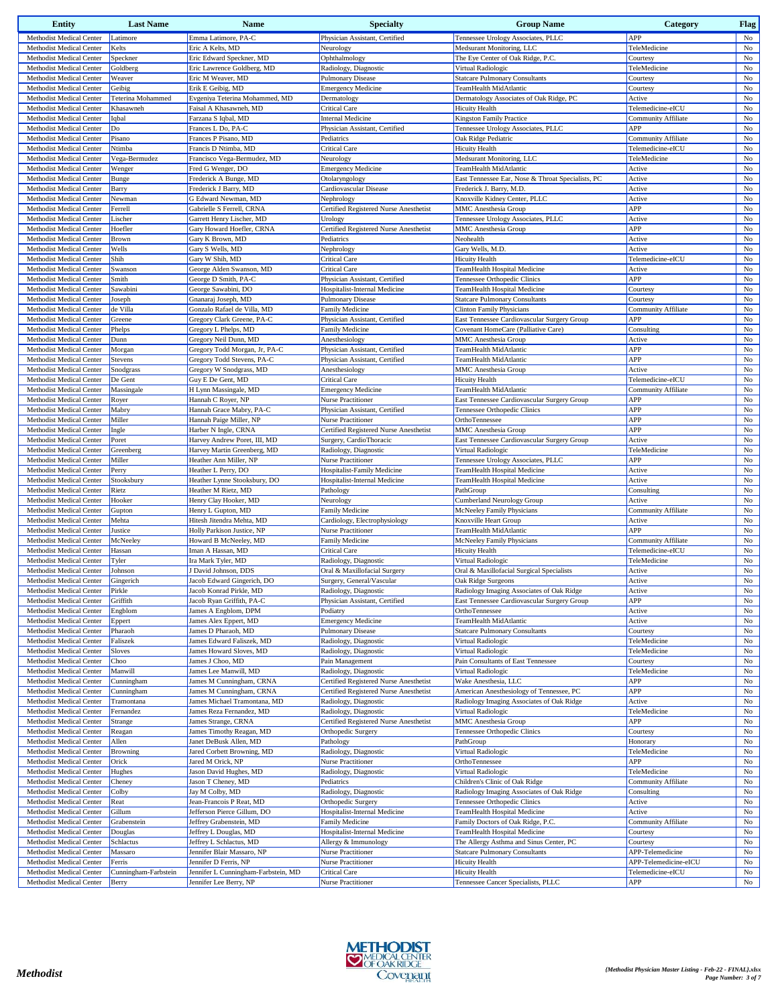| <b>Entity</b>                                        | <b>Last Name</b>        | <b>Name</b>                                              | <b>Specialty</b>                                      | <b>Group Name</b>                                                           | Category                               | <b>Flag</b>                |
|------------------------------------------------------|-------------------------|----------------------------------------------------------|-------------------------------------------------------|-----------------------------------------------------------------------------|----------------------------------------|----------------------------|
| Methodist Medical Center                             | Latimore                | Emma Latimore, PA-C                                      | Physician Assistant, Certified                        | Tennessee Urology Associates, PLLC                                          | APP                                    | No                         |
| Methodist Medical Center                             | Kelts                   | Eric A Kelts, MD                                         | Neurology                                             | Medsurant Monitoring, LLC                                                   | TeleMedicine                           | $_{\rm No}$                |
| Methodist Medical Center<br>Methodist Medical Center | Speckner<br>Goldberg    | Eric Edward Speckner, MD<br>Eric Lawrence Goldberg, MD   | Ophthalmology<br>Radiology, Diagnostic                | The Eye Center of Oak Ridge, P.C.<br>Virtual Radiologic                     | Courtesy<br>TeleMedicine               | $_{\rm No}$<br>No          |
| Methodist Medical Center                             | Weaver                  | Eric M Weaver, MD                                        | <b>Pulmonary Disease</b>                              | <b>Statcare Pulmonary Consultants</b>                                       | Courtesy                               | No                         |
| Methodist Medical Center                             | Geibig                  | Erik E Geibig, MD                                        | <b>Emergency Medicine</b>                             | TeamHealth MidAtlantic                                                      | Courtesy                               | $_{\rm No}$                |
| Methodist Medical Center                             | Teterina Mohammed       | Evgeniya Teterina Mohammed, MD                           | Dermatology                                           | Dermatology Associates of Oak Ridge, PC                                     | Active                                 | No                         |
| Methodist Medical Center                             | Khasawneh               | Faisal A Khasawneh, MD                                   | <b>Critical Care</b>                                  | <b>Hicuity Health</b>                                                       | Telemedicine-eICU                      | No                         |
| Methodist Medical Center                             | Iqbal                   | Farzana S Iqbal, MD                                      | <b>Internal Medicine</b>                              | <b>Kingston Family Practice</b>                                             | Community Affiliate                    | No                         |
| Methodist Medical Center                             | Do                      | Frances L Do, PA-C                                       | Physician Assistant, Certified                        | Tennessee Urology Associates, PLLC                                          | APP                                    | No                         |
| Methodist Medical Center                             | Pisano                  | Frances P Pisano, MD                                     | Pediatrics                                            | Oak Ridge Pediatric                                                         | <b>Community Affiliate</b>             | $_{\rm No}$                |
| Methodist Medical Center                             | Ntimba                  | Francis D Ntimba, MD                                     | <b>Critical Care</b>                                  | <b>Hicuity Health</b>                                                       | Telemedicine-eICU                      | No                         |
| Methodist Medical Center<br>Methodist Medical Center | Vega-Bermudez           | Francisco Vega-Bermudez, MD                              | Neurology<br><b>Emergency Medicine</b>                | Medsurant Monitoring, LLC                                                   | TeleMedicine                           | $_{\rm No}$                |
| Methodist Medical Center                             | Wenger<br>Bunge         | Fred G Wenger, DO<br>Frederick A Bunge, MD               | Otolaryngology                                        | TeamHealth MidAtlantic<br>East Tennessee Ear, Nose & Throat Specialists, PC | Active<br>Active                       | No<br>No                   |
| <b>Methodist Medical Center</b>                      | Barry                   | Frederick J Barry, MD                                    | Cardiovascular Disease                                | Frederick J. Barry, M.D.                                                    | Active                                 | No                         |
| Methodist Medical Center                             | Newman                  | G Edward Newman, MD                                      | Nephrology                                            | Knoxville Kidney Center, PLLC                                               | Active                                 | No                         |
| Methodist Medical Center                             | Ferrell                 | Gabrielle S Ferrell, CRNA                                | Certified Registered Nurse Anesthetist                | <b>MMC</b> Anesthesia Group                                                 | APP                                    | No                         |
| Methodist Medical Center                             | Lischer                 | Garrett Henry Lischer, MD                                | Urology                                               | Tennessee Urology Associates, PLLC                                          | Active                                 | No                         |
| Methodist Medical Center                             | Hoefler                 | Gary Howard Hoefler, CRNA                                | Certified Registered Nurse Anesthetist                | <b>MMC</b> Anesthesia Group                                                 | APP                                    | No                         |
| Methodist Medical Center                             | Brown                   | Gary K Brown, MD                                         | Pediatrics                                            | Neohealth                                                                   | Active                                 | No                         |
| Methodist Medical Center                             | Wells                   | Gary S Wells, MD                                         | Nephrology                                            | Gary Wells, M.D.                                                            | Active                                 | No                         |
| Methodist Medical Center                             | Shih                    | Gary W Shih, MD                                          | <b>Critical Care</b>                                  | <b>Hicuity Health</b>                                                       | Telemedicine-eICU                      | No                         |
| Methodist Medical Center                             | Swanson                 | George Alden Swanson, MD                                 | <b>Critical Care</b>                                  | TeamHealth Hospital Medicine                                                | Active                                 | No                         |
| Methodist Medical Center                             | Smith                   | George D Smith, PA-C                                     | Physician Assistant, Certified                        | Tennessee Orthopedic Clinics                                                | APP                                    | $_{\rm No}$                |
| Methodist Medical Center                             | Sawabini                | George Sawabini, DO                                      | Hospitalist-Internal Medicine                         | TeamHealth Hospital Medicine                                                | Courtesy                               | No                         |
| Methodist Medical Center<br>Methodist Medical Center | Joseph<br>de Villa      | Gnanaraj Joseph, MD<br>Gonzalo Rafael de Villa, MD       | Pulmonary Disease<br>Family Medicine                  | <b>Statcare Pulmonary Consultants</b><br><b>Clinton Family Physicians</b>   | Courtesy<br><b>Community Affiliate</b> | No<br>$_{\rm No}$          |
| <b>Methodist Medical Center</b>                      | Greene                  | Gregory Clark Greene, PA-C                               | Physician Assistant, Certified                        | East Tennessee Cardiovascular Surgery Group                                 | APP                                    | No                         |
| Methodist Medical Center                             | Phelps                  | Gregory L Phelps, MD                                     | <b>Family Medicine</b>                                | Covenant HomeCare (Palliative Care)                                         | Consulting                             | No                         |
| Methodist Medical Center                             | Dunn                    | Gregory Neil Dunn, MD                                    | Anesthesiology                                        | <b>MMC</b> Anesthesia Group                                                 | Active                                 | $_{\rm No}$                |
| Methodist Medical Center                             | Morgan                  | Gregory Todd Morgan, Jr, PA-C                            | Physician Assistant, Certified                        | TeamHealth MidAtlantic                                                      | APP                                    | No                         |
| Methodist Medical Center                             | Stevens                 | Gregory Todd Stevens, PA-C                               | Physician Assistant, Certified                        | TeamHealth MidAtlantic                                                      | APP                                    | No                         |
| Methodist Medical Center                             | Snodgrass               | Gregory W Snodgrass, MD                                  | Anesthesiology                                        | <b>MMC</b> Anesthesia Group                                                 | Active                                 | $_{\rm No}$                |
| Methodist Medical Center                             | De Gent                 | Guy E De Gent, MD                                        | <b>Critical Care</b>                                  | <b>Hicuity Health</b>                                                       | Telemedicine-eICU                      | No                         |
| Methodist Medical Center                             | Massingale              | H Lynn Massingale, MD                                    | <b>Emergency Medicine</b>                             | TeamHealth MidAtlantic                                                      | <b>Community Affiliate</b>             | No                         |
| Methodist Medical Center                             | Royer                   | Hannah C Royer, NP                                       | Nurse Practitioner                                    | East Tennessee Cardiovascular Surgery Group                                 | APP                                    | No                         |
| Methodist Medical Center                             | Mabry                   | Hannah Grace Mabry, PA-C                                 | Physician Assistant, Certified                        | Tennessee Orthopedic Clinics                                                | APP                                    | No                         |
| Methodist Medical Center                             | Miller                  | Hannah Paige Miller, NP                                  | <b>Nurse Practitioner</b>                             | OrthoTennessee                                                              | APP                                    | No                         |
| Methodist Medical Center                             | Ingle                   | Harber N Ingle, CRNA                                     | Certified Registered Nurse Anesthetist                | <b>MMC</b> Anesthesia Group                                                 | APP                                    | No                         |
| Methodist Medical Center<br>Methodist Medical Center | Poret                   | Harvey Andrew Poret, III, MD                             | Surgery, CardioThoracic                               | East Tennessee Cardiovascular Surgery Group                                 | Active<br>TeleMedicine                 | No<br>No                   |
| Methodist Medical Center                             | Greenberg<br>Miller     | Harvey Martin Greenberg, MD<br>Heather Ann Miller, NP    | Radiology, Diagnostic<br><b>Nurse Practitioner</b>    | Virtual Radiologic<br>Tennessee Urology Associates, PLLC                    | APP                                    | $_{\rm No}$                |
| Methodist Medical Center                             | Perry                   | Heather L Perry, DO                                      | Hospitalist-Family Medicine                           | TeamHealth Hospital Medicine                                                | Active                                 | No                         |
| Methodist Medical Center                             | Stooksbury              | Heather Lynne Stooksbury, DO                             | Hospitalist-Internal Medicine                         | TeamHealth Hospital Medicine                                                | Active                                 | $_{\rm No}$                |
| Methodist Medical Center                             | Rietz                   | Heather M Rietz, MD                                      | Pathology                                             | PathGroup                                                                   | Consulting                             | $_{\rm No}$                |
| Methodist Medical Center                             | Hooker                  | Henry Clay Hooker, MD                                    | Neurology                                             | Cumberland Neurology Group                                                  | Active                                 | No                         |
| Methodist Medical Center                             | Gupton                  | Henry L Gupton, MD                                       | <b>Family Medicine</b>                                | McNeeley Family Physicians                                                  | Community Affiliate                    | No                         |
| Methodist Medical Center                             | Mehta                   | Hitesh Jitendra Mehta, MD                                | Cardiology, Electrophysiology                         | Knoxville Heart Group                                                       | Active                                 | $_{\rm No}$                |
| Methodist Medical Center                             | Justice                 | Holly Parkison Justice, NP                               | Nurse Practitioner                                    | TeamHealth MidAtlantic                                                      | APP                                    | $_{\rm No}$                |
| Methodist Medical Center                             | McNeeley                | Howard B McNeeley, MD                                    | Family Medicine                                       | McNeeley Family Physicians                                                  | Community Affiliate                    | No                         |
| Methodist Medical Center                             | Hassan                  | Iman A Hassan, MD                                        | <b>Critical Care</b>                                  | <b>Hicuity Health</b>                                                       | Telemedicine-eICU                      | $_{\rm No}$                |
| Methodist Medical Center<br>Methodist Medical Center | Tyler<br>Johnson        | Ira Mark Tyler, MD<br>J David Johnson, DDS               | Radiology, Diagnostic<br>Oral & Maxillofacial Surgery | Virtual Radiologic<br>Oral & Maxillofacial Surgical Specialists             | TeleMedicine<br>Active                 | $_{\rm No}$<br>$_{\rm No}$ |
| Methodist Medical Center                             | Gingerich               | Jacob Edward Gingerich, DO                               | Surgery, General/Vascular                             | Oak Ridge Surgeons                                                          | Active                                 | No                         |
| Methodist Medical Center                             | Pirkle                  | Jacob Konrad Pirkle, MD                                  | Radiology, Diagnostic                                 | Radiology Imaging Associates of Oak Ridge                                   | Active                                 | No                         |
| Methodist Medical Center                             | Griffith                | Jacob Ryan Griffith, PA-C                                | Physician Assistant, Certified                        | East Tennessee Cardiovascular Surgery Group                                 | APP                                    | $_{\rm No}$                |
| Methodist Medical Center                             | Engblom                 | James A Engblom, DPM                                     | Podiatry                                              | OrthoTennessee                                                              | Active                                 | No                         |
| Methodist Medical Center                             | Eppert                  | James Alex Eppert, MD                                    | <b>Emergency Medicine</b>                             | TeamHealth MidAtlantic                                                      | Active                                 | No                         |
| Methodist Medical Center                             | Pharaoh                 | James D Pharaoh, MD                                      | <b>Pulmonary Disease</b>                              | <b>Statcare Pulmonary Consultants</b>                                       | Courtesy                               | No                         |
| Methodist Medical Center                             | Faliszek                | James Edward Faliszek, MD                                | Radiology, Diagnostic                                 | Virtual Radiologic                                                          | TeleMedicine                           | No                         |
| Methodist Medical Center                             | Sloves                  | James Howard Sloves, MD                                  | Radiology, Diagnostic                                 | Virtual Radiologic                                                          | TeleMedicine                           | No                         |
| Methodist Medical Center                             | Choo                    | James J Choo, MD                                         | Pain Management                                       | Pain Consultants of East Tennessee                                          | Courtesy                               | No                         |
| Methodist Medical Center                             | Manwill                 | James Lee Manwill, MD                                    | Radiology, Diagnostic                                 | Virtual Radiologic                                                          | TeleMedicine                           | No                         |
| Methodist Medical Center                             | Cunningham              | James M Cunningham, CRNA                                 | Certified Registered Nurse Anesthetist                | Wake Anesthesia, LLC                                                        | APP                                    | $_{\rm No}$                |
| Methodist Medical Center                             | Cunningham              | James M Cunningham, CRNA<br>James Michael Tramontana, MD | Certified Registered Nurse Anesthetist                | American Anesthesiology of Tennessee, PC                                    | APP                                    | No                         |
| Methodist Medical Center<br>Methodist Medical Center | Tramontana<br>Fernandez | James Reza Fernandez, MD                                 | Radiology, Diagnostic<br>Radiology, Diagnostic        | Radiology Imaging Associates of Oak Ridge<br>Virtual Radiologic             | Active<br>TeleMedicine                 | $_{\rm No}$<br>No          |
| Methodist Medical Center                             | Strange                 | James Strange, CRNA                                      | Certified Registered Nurse Anesthetist                | <b>MMC</b> Anesthesia Group                                                 | APP                                    | No                         |
| Methodist Medical Center                             | Reagan                  | James Timothy Reagan, MD                                 | Orthopedic Surgery                                    | Tennessee Orthopedic Clinics                                                | Courtesy                               | No                         |
| Methodist Medical Center                             | Allen                   | Janet DeBusk Allen, MD                                   | Pathology                                             | PathGroup                                                                   | Honorary                               | No                         |
| Methodist Medical Center                             | <b>Browning</b>         | Jared Corbett Browning, MD                               | Radiology, Diagnostic                                 | Virtual Radiologic                                                          | TeleMedicine                           | $_{\rm No}$                |
| Methodist Medical Center                             | Orick                   | Jared M Orick, NP                                        | Nurse Practitioner                                    | OrthoTennessee                                                              | APP                                    | No                         |
| Methodist Medical Center                             | Hughes                  | Jason David Hughes, MD                                   | Radiology, Diagnostic                                 | Virtual Radiologic                                                          | TeleMedicine                           | No                         |
| Methodist Medical Center                             | Cheney                  | Jason T Cheney, MD                                       | Pediatrics                                            | Children's Clinic of Oak Ridge                                              | <b>Community Affiliate</b>             | No                         |
| Methodist Medical Center                             | Colby                   | Jay M Colby, MD                                          | Radiology, Diagnostic                                 | Radiology Imaging Associates of Oak Ridge                                   | Consulting                             | No                         |
| Methodist Medical Center                             | Reat                    | Jean-Francois P Reat, MD                                 | Orthopedic Surgery                                    | Tennessee Orthopedic Clinics                                                | Active                                 | No                         |
| Methodist Medical Center                             | Gillum                  | Jefferson Pierce Gillum, DO                              | Hospitalist-Internal Medicine                         | TeamHealth Hospital Medicine                                                | Active                                 | No                         |
| Methodist Medical Center                             | Grabenstein             | Jeffrey Grabenstein, MD                                  | <b>Family Medicine</b>                                | Family Doctors of Oak Ridge, P.C.                                           | Community Affiliate                    | No                         |
| Methodist Medical Center<br>Methodist Medical Center | Douglas<br>Schlactus    | Jeffrey L Douglas, MD<br>Jeffrey L Schlactus, MD         | Hospitalist-Internal Medicine                         | TeamHealth Hospital Medicine<br>The Allergy Asthma and Sinus Center, PC     | Courtesy<br>Courtesy                   | No<br>No                   |
| Methodist Medical Center                             | Massaro                 | Jennifer Blair Massaro, NP                               | Allergy & Immunology<br>Nurse Practitioner            | <b>Statcare Pulmonary Consultants</b>                                       | APP-Telemedicine                       | No                         |
| Methodist Medical Center                             | Ferris                  | Jennifer D Ferris, NP                                    | Nurse Practitioner                                    | <b>Hicuity Health</b>                                                       | APP-Telemedicine-eICU                  | No                         |
| Methodist Medical Center                             | Cunningham-Farbstein    | Jennifer L Cunningham-Farbstein, MD                      | <b>Critical Care</b>                                  | <b>Hicuity Health</b>                                                       | Telemedicine-eICU                      | No                         |
| Methodist Medical Center                             | Berry                   | Jennifer Lee Berry, NP                                   | Nurse Practitioner                                    | Tennessee Cancer Specialists, PLLC                                          | APP                                    | No                         |

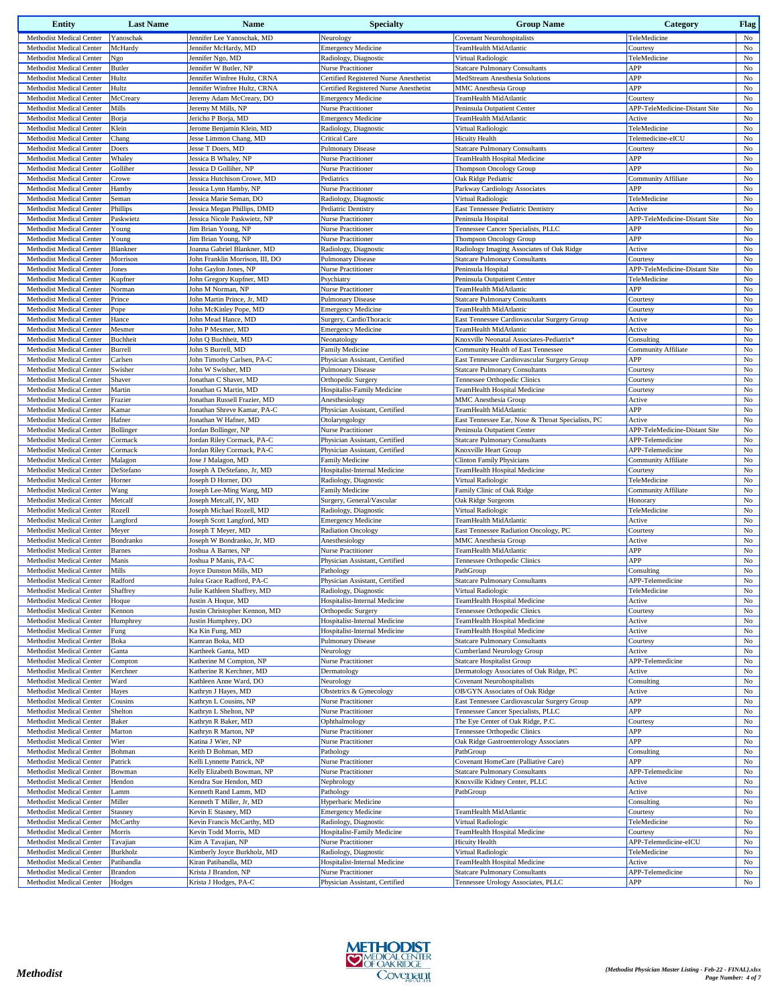| <b>Entity</b>                                        | <b>Last Name</b>  | <b>Name</b>                               | <b>Specialty</b>                                  | <b>Group Name</b>                                                                 | Category                                 | <b>Flag</b> |
|------------------------------------------------------|-------------------|-------------------------------------------|---------------------------------------------------|-----------------------------------------------------------------------------------|------------------------------------------|-------------|
| Methodist Medical Center                             | Yanoschak         | Jennifer Lee Yanoschak, MD                | Neurology                                         | <b>Covenant Neurohospitalists</b>                                                 | TeleMedicine                             | No          |
| Methodist Medical Center                             | McHardy           | Jennifer McHardy, MD                      | <b>Emergency Medicine</b>                         | TeamHealth MidAtlantic                                                            | Courtesy                                 | No          |
| Methodist Medical Center                             | Ngo               | Jennifer Ngo, MD                          | Radiology, Diagnostic                             | Virtual Radiologic                                                                | TeleMedicine                             | No          |
| Methodist Medical Center                             | <b>Butler</b>     | Jennifer W Butler, NP                     | Nurse Practitioner                                | <b>Statcare Pulmonary Consultants</b>                                             | APP                                      | No          |
| Methodist Medical Center                             | Hultz             | Jennifer Winfree Hultz, CRNA              | Certified Registered Nurse Anesthetist            | MedStream Anesthesia Solutions                                                    | APP                                      | $_{\rm No}$ |
| Methodist Medical Center                             | Hultz             | Jennifer Winfree Hultz, CRNA              | Certified Registered Nurse Anesthetist            | MMC Anesthesia Group                                                              | APP                                      | $_{\rm No}$ |
| <b>Methodist Medical Center</b>                      | McCreary          | Jeremy Adam McCreary, DO                  | <b>Emergency Medicine</b>                         | TeamHealth MidAtlantic                                                            | Courtesy                                 | $_{\rm No}$ |
| Methodist Medical Center                             | Mills             | Jeremy M Mills, NP                        | <b>Nurse Practitioner</b>                         | Peninsula Outpatient Center                                                       | APP-TeleMedicine-Distant Site            | No          |
| Methodist Medical Center                             | Borja             | Jericho P Borja, MD                       | <b>Emergency Medicine</b>                         | TeamHealth MidAtlantic                                                            | Active                                   | $_{\rm No}$ |
| Methodist Medical Center                             | Klein             | Jerome Benjamin Klein, MD                 | Radiology, Diagnostic                             | Virtual Radiologic                                                                | TeleMedicine                             | No          |
| Methodist Medical Center                             | Chang             | Jesse Limmon Chang, MD                    | <b>Critical Care</b>                              | <b>Hicuity Health</b>                                                             | Telemedicine-eICU                        | No          |
| Methodist Medical Center                             | Doers             | Jesse T Doers, MD                         | <b>Pulmonary Disease</b>                          | <b>Statcare Pulmonary Consultants</b>                                             | Courtesy                                 | $_{\rm No}$ |
| Methodist Medical Center                             | Whaley            | Jessica B Whaley, NP                      | Nurse Practitioner                                | TeamHealth Hospital Medicine                                                      | APP                                      | $_{\rm No}$ |
| Methodist Medical Center                             | Golliher          | Jessica D Golliher, NP                    | <b>Nurse Practitioner</b>                         | <b>Thompson Oncology Group</b>                                                    | APP                                      | No          |
| <b>Methodist Medical Center</b>                      | Crowe             | Jessica Hutchison Crowe, MD               | Pediatrics                                        | Oak Ridge Pediatric                                                               | <b>Community Affiliate</b>               | No          |
| Methodist Medical Center                             | Hamby             | Jessica Lynn Hamby, NP                    | Nurse Practitioner                                | Parkway Cardiology Associates                                                     | APP                                      | $_{\rm No}$ |
| <b>Methodist Medical Center</b>                      | Seman             | Jessica Marie Seman, DO                   | Radiology, Diagnostic                             | Virtual Radiologic                                                                | TeleMedicine                             | $_{\rm No}$ |
| Methodist Medical Center                             | Phillips          | Jessica Megan Phillips, DMD               | Pediatric Dentistry                               | East Tennessee Pediatric Dentistry                                                | Active                                   | No          |
| Methodist Medical Center                             | Paskwietz         | Jessica Nicole Paskwietz, NP              | Nurse Practitioner                                | Peninsula Hospital                                                                | APP-TeleMedicine-Distant Site            | $_{\rm No}$ |
| Methodist Medical Center                             | Young             | Jim Brian Young, NP                       | <b>Nurse Practitioner</b>                         | Tennessee Cancer Specialists, PLLC                                                | APP                                      | No          |
| Methodist Medical Center                             | Young             | Jim Brian Young, NP                       | <b>Nurse Practitioner</b>                         | <b>Thompson Oncology Group</b>                                                    | APP                                      | No          |
| Methodist Medical Center                             | Blankner          | Joanna Gabriel Blankner, MD               | Radiology, Diagnostic                             | Radiology Imaging Associates of Oak Ridge                                         | Active                                   | $_{\rm No}$ |
| Methodist Medical Center                             | Morrison          | John Franklin Morrison, III, DO           | Pulmonary Disease                                 | <b>Statcare Pulmonary Consultants</b>                                             | Courtesy                                 | $_{\rm No}$ |
| Methodist Medical Center                             | Jones             | John Gaylon Jones, NP                     | Nurse Practitioner                                | Peninsula Hospital                                                                | APP-TeleMedicine-Distant Site            | No          |
| Methodist Medical Center                             | Kupfner           | John Gregory Kupfner, MD                  | Psychiatry                                        | Peninsula Outpatient Center                                                       | TeleMedicine                             | No          |
| Methodist Medical Center                             | Norman            | John M Norman, NP                         | <b>Nurse Practitioner</b>                         | TeamHealth MidAtlantic                                                            | APP                                      | No          |
| Methodist Medical Center                             | Prince            | John Martin Prince, Jr. MD                | <b>Pulmonary Disease</b>                          | <b>Statcare Pulmonary Consultants</b>                                             | Courtesy                                 | $_{\rm No}$ |
| Methodist Medical Center                             | Pope              | John McKinley Pope, MD                    | <b>Emergency Medicine</b>                         | TeamHealth MidAtlantic<br>East Tennessee Cardiovascular Surgery Group             | Courtesy                                 | No          |
| Methodist Medical Center                             | Hance             | John Mead Hance, MD                       | Surgery, CardioThoracic                           |                                                                                   | Active                                   | $_{\rm No}$ |
| Methodist Medical Center                             | Mesmer            | John P Mesmer, MD                         | <b>Emergency Medicine</b>                         | TeamHealth MidAtlantic                                                            | Active                                   | $_{\rm No}$ |
| Methodist Medical Center                             | Buchheit          | John Q Buchheit, MD<br>John S Burrell, MD | Neonatology                                       | Knoxville Neonatal Associates-Pediatrix*                                          | Consulting<br><b>Community Affiliate</b> | $_{\rm No}$ |
| Methodist Medical Center<br>Methodist Medical Center | Burrell           | John Timothy Carlsen, PA-C                | Family Medicine<br>Physician Assistant, Certified | Community Health of East Tennessee<br>East Tennessee Cardiovascular Surgery Group | APP                                      | $_{\rm No}$ |
|                                                      | Carlsen           | John W Swisher, MD                        | <b>Pulmonary Disease</b>                          |                                                                                   | Courtesy                                 | No<br>No    |
| Methodist Medical Center<br>Methodist Medical Center | Swisher<br>Shaver | Jonathan C Shaver, MD                     |                                                   | <b>Statcare Pulmonary Consultants</b><br>Tennessee Orthopedic Clinics             | Courtesy                                 |             |
| Methodist Medical Center                             | Martin            | Jonathan G Martin, MD                     | Orthopedic Surgery<br>Hospitalist-Family Medicine | TeamHealth Hospital Medicine                                                      | Courtesy                                 | No<br>No    |
| Methodist Medical Center                             | Frazier           | Jonathan Russell Frazier, MD              | Anesthesiology                                    | <b>MMC</b> Anesthesia Group                                                       | Active                                   | $_{\rm No}$ |
| Methodist Medical Center                             | Kamar             | Jonathan Shreve Kamar, PA-C               | Physician Assistant, Certified                    | TeamHealth MidAtlantic                                                            | APP                                      | $_{\rm No}$ |
| Methodist Medical Center                             | Hafner            | Jonathan W Hafner, MD                     | Otolaryngology                                    | East Tennessee Ear, Nose & Throat Specialists, PC                                 | Active                                   | No          |
| Methodist Medical Center                             | Bollinger         | Jordan Bollinger, NP                      | <b>Nurse Practitioner</b>                         | Peninsula Outpatient Center                                                       | APP-TeleMedicine-Distant Site            | No          |
| Methodist Medical Center                             | Cormack           | Jordan Riley Cormack, PA-C                | Physician Assistant, Certified                    | <b>Statcare Pulmonary Consultants</b>                                             | APP-Telemedicine                         | $_{\rm No}$ |
| Methodist Medical Center                             | Cormack           | Jordan Riley Cormack, PA-C                | Physician Assistant, Certified                    | Knoxville Heart Group                                                             | APP-Telemedicine                         | No          |
| Methodist Medical Center                             | Malagon           | Jose J Malagon, MD                        | <b>Family Medicine</b>                            | <b>Clinton Family Physicians</b>                                                  | <b>Community Affiliate</b>               | No          |
| Methodist Medical Center                             | DeStefano         | Joseph A DeStefano, Jr, MD                | Hospitalist-Internal Medicine                     | TeamHealth Hospital Medicine                                                      | Courtesy                                 | $_{\rm No}$ |
| Methodist Medical Center                             | Horner            | Joseph D Horner, DO                       | Radiology, Diagnostic                             | Virtual Radiologic                                                                | TeleMedicine                             | No          |
| Methodist Medical Center                             | Wang              | Joseph Lee-Ming Wang, MD                  | Family Medicine                                   | Family Clinic of Oak Ridge                                                        | <b>Community Affiliate</b>               | No          |
| Methodist Medical Center                             | Metcalf           | Joseph Metcalf, IV, MD                    | Surgery, General/Vascular                         | Oak Ridge Surgeons                                                                | Honorary                                 | No          |
| Methodist Medical Center                             | Rozell            | Joseph Michael Rozell, MD                 | Radiology, Diagnostic                             | Virtual Radiologic                                                                | TeleMedicine                             | $_{\rm No}$ |
| Methodist Medical Center                             | Langford          | Joseph Scott Langford, MD                 | <b>Emergency Medicine</b>                         | TeamHealth MidAtlantic                                                            | Active                                   | No          |
| Methodist Medical Center                             | Meyer             | Joseph T Meyer, MD                        | <b>Radiation Oncology</b>                         | East Tennessee Radiation Oncology, PC                                             | Courtesy                                 | No          |
| Methodist Medical Center                             | Bondranko         | Joseph W Bondranko, Jr, MD                | Anesthesiology                                    | MMC Anesthesia Group                                                              | Active                                   | $_{\rm No}$ |
| Methodist Medical Center                             | <b>Barnes</b>     | Joshua A Barnes, NP                       | <b>Nurse Practitioner</b>                         | TeamHealth MidAtlantic                                                            | APP                                      | No          |
| Methodist Medical Center                             | Manis             | Joshua P Manis, PA-C                      | Physician Assistant, Certified                    | Tennessee Orthopedic Clinics                                                      | APP                                      | No          |
| <b>Methodist Medical Center</b>                      | Mills             | Joyce Dunston Mills, MD                   | Pathology                                         | PathGroup                                                                         | Consulting                               | No          |
| Methodist Medical Center                             | Radford           | Julea Grace Radford, PA-C                 | Physician Assistant, Certified                    | <b>Statcare Pulmonary Consultants</b>                                             | APP-Telemedicine                         | $_{\rm No}$ |
| Methodist Medical Center                             | Shaffrey          | Julie Kathleen Shaffrey, MD               | Radiology, Diagnostic                             | Virtual Radiologic                                                                | TeleMedicine                             | No          |
| Methodist Medical Center                             | Hoque             | Justin A Hoque, MD                        | Hospitalist-Internal Medicine                     | TeamHealth Hospital Medicine                                                      | Active                                   | $_{\rm No}$ |
| Methodist Medical Center                             | Kennon            | Justin Christopher Kennon, MD             | Orthopedic Surgery                                | Tennessee Orthopedic Clinics                                                      | Courtesy                                 | No          |
| Methodist Medical Center                             | Humphrey          | Justin Humphrey, DO                       | Hospitalist-Internal Medicine                     | TeamHealth Hospital Medicine                                                      | Active                                   | No          |
| Methodist Medical Center                             | Fung              | Ka Kin Fung, MD                           | Hospitalist-Internal Medicine                     | TeamHealth Hospital Medicine                                                      | Active                                   | No          |
| Methodist Medical Center                             | Boka              | Kamran Boka, MD                           | Pulmonary Disease                                 | <b>Statcare Pulmonary Consultants</b>                                             | Courtesy                                 | $_{\rm No}$ |
| Methodist Medical Center                             | Ganta             | Kartheek Ganta, MD                        | Neurology                                         | Cumberland Neurology Group                                                        | Active                                   | $_{\rm No}$ |
| Methodist Medical Center                             | Compton           | Katherine M Compton, NP                   | Nurse Practitioner                                | <b>Statcare Hospitalist Group</b>                                                 | APP-Telemedicine                         | $_{\rm No}$ |
| Methodist Medical Center                             | Kerchner          | Katherine R Kerchner, MD                  | Dermatology                                       | Dermatology Associates of Oak Ridge, PC                                           | Active                                   | No          |
| Methodist Medical Center                             | Ward              | Kathleen Anne Ward, DO                    | Neurology                                         | <b>Covenant Neurohospitalists</b>                                                 | Consulting                               | No          |
| Methodist Medical Center                             | Hayes             | Kathryn J Hayes, MD                       | Obstetrics & Gynecology                           | OB/GYN Associates of Oak Ridge                                                    | Active                                   | No          |
| Methodist Medical Center                             | Cousins           | Kathryn L Cousins, NP                     | Nurse Practitioner                                | East Tennessee Cardiovascular Surgery Group                                       | APP                                      | No          |
| Methodist Medical Center                             | Shelton           | Kathryn L Shelton, NP                     | Nurse Practitioner                                | Tennessee Cancer Specialists, PLLC                                                | APP                                      | $_{\rm No}$ |
| Methodist Medical Center                             | <b>Baker</b>      | Kathryn R Baker, MD                       | Ophthalmology                                     | The Eye Center of Oak Ridge, P.C.                                                 | Courtesy                                 | No          |
| Methodist Medical Center                             | Marton            | Kathryn R Marton, NP                      | Nurse Practitioner                                | Tennessee Orthopedic Clinics                                                      | APP                                      | $_{\rm No}$ |
| Methodist Medical Center                             | Wier              | Katina J Wier, NP                         | Nurse Practitioner                                | Oak Ridge Gastroenterology Associates                                             | APP                                      | $_{\rm No}$ |
| Methodist Medical Center                             | Bohman            | Keith D Bohman, MD                        | Pathology                                         | PathGroup                                                                         | Consulting                               | No          |
| Methodist Medical Center                             | Patrick           | Kelli Lynnette Patrick, NP                | Nurse Practitioner                                | Covenant HomeCare (Palliative Care)                                               | APP                                      | $_{\rm No}$ |
| Methodist Medical Center                             | Bowman            | Kelly Elizabeth Bowman, NP                | Nurse Practitioner                                | <b>Statcare Pulmonary Consultants</b>                                             | APP-Telemedicine                         | No          |
| Methodist Medical Center                             | Hendon            | Kendra Sue Hendon, MD                     | Nephrology                                        | Knoxville Kidney Center, PLLC                                                     | Active                                   | No          |
| Methodist Medical Center                             | Lamm              | Kenneth Rand Lamm, MD                     | Pathology                                         | PathGroup                                                                         | Active                                   | $_{\rm No}$ |
| Methodist Medical Center                             | Miller            | Kenneth T Miller, Jr, MD                  | Hyperbaric Medicine                               |                                                                                   | Consulting                               | No          |
| Methodist Medical Center                             | Stasney           | Kevin E Stasney, MD                       | <b>Emergency Medicine</b>                         | TeamHealth MidAtlantic                                                            | Courtesy                                 | No          |
| Methodist Medical Center                             | McCarthy          | Kevin Francis McCarthy, MD                | Radiology, Diagnostic                             | Virtual Radiologic                                                                | TeleMedicine                             | No          |
| Methodist Medical Center                             | Morris            | Kevin Todd Morris, MD                     | Hospitalist-Family Medicine                       | TeamHealth Hospital Medicine                                                      | Courtesy                                 | $_{\rm No}$ |
| Methodist Medical Center                             | Tavajian          | Kim A Tavajian, NP                        | Nurse Practitioner                                | <b>Hicuity Health</b>                                                             | APP-Telemedicine-eICU                    | $_{\rm No}$ |
| Methodist Medical Center                             | Burkholz          | Kimberly Joyce Burkholz, MD               | Radiology, Diagnostic                             | Virtual Radiologic                                                                | TeleMedicine                             | No          |
| Methodist Medical Center                             | Patibandla        | Kiran Patibandla, MD                      | Hospitalist-Internal Medicine                     | TeamHealth Hospital Medicine                                                      | Active                                   | No          |
| Methodist Medical Center                             | <b>Brandon</b>    | Krista J Brandon, NP                      | <b>Nurse Practitioner</b>                         | <b>Statcare Pulmonary Consultants</b>                                             | APP-Telemedicine                         | No          |
| Methodist Medical Center                             | Hodges            | Krista J Hodges, PA-C                     | Physician Assistant, Certified                    | Tennessee Urology Associates, PLLC                                                | APP                                      | No          |

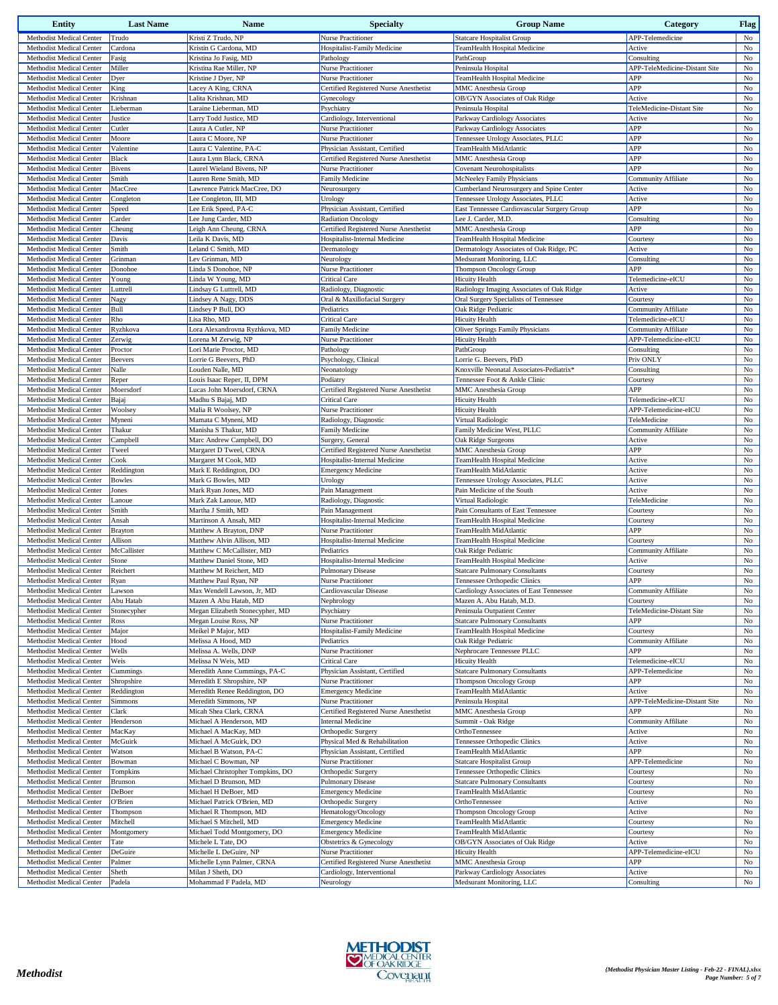| <b>Entity</b>                                        | <b>Last Name</b>         | <b>Name</b>                                              | <b>Specialty</b>                                    | <b>Group Name</b>                                                      | Category                              | <b>Flag</b>       |
|------------------------------------------------------|--------------------------|----------------------------------------------------------|-----------------------------------------------------|------------------------------------------------------------------------|---------------------------------------|-------------------|
| Methodist Medical Center                             | Trudo                    | Kristi Z Trudo, NP                                       | Nurse Practitioner                                  | <b>Statcare Hospitalist Group</b>                                      | APP-Telemedicine                      | No                |
| Methodist Medical Center                             | Cardona                  | Kristin G Cardona, MD                                    | Hospitalist-Family Medicine                         | TeamHealth Hospital Medicine                                           | Active                                | No                |
| Methodist Medical Center                             | Fasig                    | Kristina Jo Fasig, MD                                    | Pathology                                           | PathGroup                                                              | Consulting                            | $_{\rm No}$       |
| Methodist Medical Center                             | Miller                   | Kristina Rae Miller, NP                                  | Nurse Practitioner                                  | Peninsula Hospital                                                     | APP-TeleMedicine-Distant Site         | No                |
| Methodist Medical Center                             | Dyer                     | Kristine J Dver, NP                                      | <b>Nurse Practitioner</b>                           | TeamHealth Hospital Medicine                                           | APP                                   | No                |
| Methodist Medical Center                             | King                     | Lacey A King, CRNA                                       | Certified Registered Nurse Anesthetist              | <b>MMC</b> Anesthesia Group                                            | APP                                   | $_{\rm No}$       |
| Methodist Medical Center                             | Krishnan                 | Lalita Krishnan, MD                                      | Gynecology                                          | OB/GYN Associates of Oak Ridge                                         | Active                                | No                |
| Methodist Medical Center                             | Lieberman                | Laraine Lieberman, MD                                    | Psychiatry                                          | Peninsula Hospital                                                     | TeleMedicine-Distant Site             | No                |
| Methodist Medical Center                             | Justice                  | Larry Todd Justice, MD                                   | Cardiology, Interventional                          | Parkway Cardiology Associates                                          | Active                                | No                |
| Methodist Medical Center                             | Cutler                   | Laura A Cutler, NP                                       | <b>Nurse Practitioner</b>                           | Parkway Cardiology Associates                                          | APP                                   | No                |
| Methodist Medical Center                             | Moore                    | Laura C Moore, NP                                        | Nurse Practitioner                                  | Tennessee Urology Associates, PLLC                                     | APP                                   | $_{\rm No}$       |
| Methodist Medical Center                             | Valentine                | Laura C Valentine, PA-C                                  | Physician Assistant, Certified                      | TeamHealth MidAtlantic                                                 | APP                                   | No                |
| Methodist Medical Center<br>Methodist Medical Center | Black                    | Laura Lynn Black, CRNA                                   | Certified Registered Nurse Anesthetist              | <b>MMC</b> Anesthesia Group                                            | APP                                   | $_{\rm No}$       |
| Methodist Medical Center                             | <b>Bivens</b><br>Smith   | Laurel Wieland Bivens, NP<br>Lauren Rene Smith, MD       | <b>Nurse Practitioner</b><br><b>Family Medicine</b> | <b>Covenant Neurohospitalists</b>                                      | APP<br>Community Affiliate            | No<br>No          |
| Methodist Medical Center                             | MacCree                  | Lawrence Patrick MacCree, DO                             | Neurosurgery                                        | McNeeley Family Physicians<br>Cumberland Neurosurgery and Spine Center | Active                                | No                |
| Methodist Medical Center                             | Congleton                | Lee Congleton, III, MD                                   | Urology                                             | Tennessee Urology Associates, PLLC                                     | Active                                | No                |
| Methodist Medical Center                             | Speed                    | Lee Erik Speed, PA-C                                     | Physician Assistant, Certified                      | East Tennessee Cardiovascular Surgery Group                            | APP                                   | No                |
| Methodist Medical Center                             | Carder                   | Lee Jung Carder, MD                                      | <b>Radiation Oncology</b>                           | Lee J. Carder, M.D.                                                    | Consulting                            | No                |
| Methodist Medical Center                             | Cheung                   | Leigh Ann Cheung, CRNA                                   | Certified Registered Nurse Anesthetist              | <b>MMC</b> Anesthesia Group                                            | APP                                   | No                |
| Methodist Medical Center                             | Davis                    | Leila K Davis, MD                                        | Hospitalist-Internal Medicine                       | TeamHealth Hospital Medicine                                           | Courtesy                              | No                |
| Methodist Medical Center                             | Smith                    | Leland C Smith, MD                                       | Dermatology                                         | Dermatology Associates of Oak Ridge, PC                                | Active                                | No                |
| Methodist Medical Center                             | Grinman                  | Lev Grinman, MD                                          | Neurology                                           | Medsurant Monitoring, LLC                                              | Consulting                            | No                |
| Methodist Medical Center                             | Donohoe                  | Linda S Donohoe, NP                                      | Nurse Practitioner                                  | Thompson Oncology Group                                                | APP                                   | No                |
| Methodist Medical Center                             | Young                    | Linda W Young, MD                                        | <b>Critical Care</b>                                | <b>Hicuity Health</b>                                                  | Telemedicine-eICU                     | $_{\rm No}$       |
| Methodist Medical Center                             | Luttrell                 | Lindsay G Luttrell, MD                                   | Radiology, Diagnostic                               | Radiology Imaging Associates of Oak Ridge                              | Active                                | No                |
| Methodist Medical Center                             | Nagy                     | Lindsey A Nagy, DDS                                      | Oral & Maxillofacial Surgery                        | Oral Surgery Specialists of Tennessee                                  | Courtesy                              | No                |
| Methodist Medical Center                             | Bull                     | Lindsey P Bull, DO                                       | Pediatrics                                          | Oak Ridge Pediatric                                                    | <b>Community Affiliate</b>            | $_{\rm No}$       |
| Methodist Medical Center                             | Rho                      | Lisa Rho, MD                                             | <b>Critical Care</b>                                | <b>Hicuity Health</b>                                                  | Telemedicine-eICU                     | No                |
| Methodist Medical Center                             | Ryzhkova                 | Lora Alexandrovna Ryzhkova, MD                           | <b>Family Medicine</b>                              | <b>Oliver Springs Family Physicians</b>                                | <b>Community Affiliate</b>            | No                |
| Methodist Medical Center                             | Zerwig                   | Lorena M Zerwig, NP                                      | Nurse Practitioner                                  | <b>Hicuity Health</b>                                                  | APP-Telemedicine-eICU                 | $_{\rm No}$       |
| Methodist Medical Center                             | Proctor                  | Lori Marie Proctor, MD                                   | Pathology                                           | PathGroup                                                              | Consulting                            | No                |
| Methodist Medical Center                             | Beevers                  | Lorrie G Beevers, PhD                                    | Psychology, Clinical                                | Lorrie G. Beevers, PhD                                                 | Priv ONLY                             | No                |
| Methodist Medical Center                             | Nalle                    | Louden Nalle, MD                                         | Neonatology                                         | Knoxville Neonatal Associates-Pediatrix <sup>*</sup>                   | Consulting                            | $_{\rm No}$       |
| Methodist Medical Center                             | Reper                    | Louis Isaac Reper, II, DPM                               | Podiatry                                            | Tennessee Foot & Ankle Clinic                                          | Courtesy                              | No                |
| Methodist Medical Center<br>Methodist Medical Center | Moersdorf                | Lucas John Moersdorf, CRNA                               | Certified Registered Nurse Anesthetist              | <b>MMC</b> Anesthesia Group                                            | APP<br>Telemedicine-eICU              | $_{\rm No}$<br>No |
| Methodist Medical Center                             | Bajaj<br>Woolsey         | Madhu S Bajaj, MD<br>Malia R Woolsey, NP                 | <b>Critical Care</b><br>Nurse Practitioner          | <b>Hicuity Health</b><br><b>Hicuity Health</b>                         | APP-Telemedicine-eICU                 | No                |
| Methodist Medical Center                             | Myneni                   | Mamata C Myneni, MD                                      | Radiology, Diagnostic                               | Virtual Radiologic                                                     | TeleMedicine                          | No                |
| Methodist Medical Center                             | Thakur                   | Manisha S Thakur, MD                                     | <b>Family Medicine</b>                              | Family Medicine West, PLLC                                             | Community Affiliate                   | No                |
| Methodist Medical Center                             | Campbell                 | Marc Andrew Campbell, DO                                 | Surgery, General                                    | Oak Ridge Surgeons                                                     | Active                                | No                |
| Methodist Medical Center                             | Tweel                    | Margaret D Tweel, CRNA                                   | Certified Registered Nurse Anesthetist              | <b>MMC</b> Anesthesia Group                                            | APP                                   | No                |
| Methodist Medical Center                             | Cook                     | Margaret M Cook, MD                                      | Hospitalist-Internal Medicine                       | TeamHealth Hospital Medicine                                           | Active                                | No                |
| Methodist Medical Center                             | Reddington               | Mark E Reddington, DO                                    | <b>Emergency Medicine</b>                           | TeamHealth MidAtlantic                                                 | Active                                | No                |
| Methodist Medical Center                             | <b>Bowles</b>            | Mark G Bowles, MD                                        | Urology                                             | Tennessee Urology Associates, PLLC                                     | Active                                | No                |
| Methodist Medical Center                             | Jones                    | Mark Ryan Jones, MD                                      | Pain Management                                     | Pain Medicine of the South                                             | Active                                | $_{\rm No}$       |
| Methodist Medical Center                             | Lanoue                   | Mark Zak Lanoue, MD                                      | Radiology, Diagnostic                               | Virtual Radiologic                                                     | TeleMedicine                          | No                |
| Methodist Medical Center                             | Smith                    | Martha J Smith, MD                                       | Pain Management                                     | Pain Consultants of East Tennessee                                     | Courtesy                              | No                |
| Methodist Medical Center                             | Ansah                    | Martinson A Ansah, MD                                    | Hospitalist-Internal Medicine                       | TeamHealth Hospital Medicine                                           | Courtesy                              | $_{\rm No}$       |
| Methodist Medical Center                             | <b>Brayton</b>           | Matthew A Brayton, DNP                                   | <b>Nurse Practitioner</b>                           | TeamHealth MidAtlantic                                                 | APP                                   | $_{\rm No}$       |
| Methodist Medical Center                             | Allison                  | Matthew Alvin Allison, MD                                | Hospitalist-Internal Medicine                       | TeamHealth Hospital Medicine                                           | Courtesy                              | No                |
| Methodist Medical Center                             | McCallister              | Matthew C McCallister, MD                                | Pediatrics                                          | Oak Ridge Pediatric                                                    | Community Affiliate                   | $_{\rm No}$       |
| Methodist Medical Center                             | Stone                    | Matthew Daniel Stone, MD                                 | Hospitalist-Internal Medicine                       | TeamHealth Hospital Medicine                                           | Active                                | $_{\rm No}$       |
| Methodist Medical Center                             | Reichert                 | Matthew M Reichert, MD                                   | <b>Pulmonary Disease</b>                            | <b>Statcare Pulmonary Consultants</b>                                  | Courtesy                              | $_{\rm No}$       |
| Methodist Medical Center                             | Ryan                     | Matthew Paul Ryan, NP                                    | Nurse Practitioner                                  | Tennessee Orthopedic Clinics                                           | APP                                   | No                |
| Methodist Medical Center                             | Lawson                   | Max Wendell Lawson, Jr, MD                               | Cardiovascular Disease<br>Nephrology                | Cardiology Associates of East Tennessee                                | Community Affiliate                   | No                |
| Methodist Medical Center<br>Methodist Medical Center | Abu Hatab<br>Stonecypher | Mazen A Abu Hatab, MD<br>Megan Elizabeth Stonecypher, MD | Psychiatry                                          | Mazen A. Abu Hatab, M.D.<br>Peninsula Outpatient Center                | Courtesy<br>TeleMedicine-Distant Site | $_{\rm No}$<br>No |
| Methodist Medical Center                             | Ross                     | Megan Louise Ross, NP                                    | Nurse Practitioner                                  | <b>Statcare Pulmonary Consultants</b>                                  | APP                                   | No                |
| Methodist Medical Center                             | Major                    | Meikel P Major, MD                                       | Hospitalist-Family Medicine                         | TeamHealth Hospital Medicine                                           | Courtesy                              | $_{\rm No}$       |
| Methodist Medical Center                             | Hood                     | Melissa A Hood, MD                                       | Pediatrics                                          | Oak Ridge Pediatric                                                    | Community Affiliate                   | No                |
| Methodist Medical Center                             | Wells                    | Melissa A. Wells, DNP                                    | Nurse Practitioner                                  | Nephrocare Tennessee PLLC                                              | APP                                   | No                |
| Methodist Medical Center                             | Weis                     | Melissa N Weis, MD                                       | <b>Critical Care</b>                                | <b>Hicuity Health</b>                                                  | Telemedicine-eICU                     | No                |
| Methodist Medical Center                             | Cummings                 | Meredith Anne Cummings, PA-C                             | Physician Assistant, Certified                      | <b>Statcare Pulmonary Consultants</b>                                  | APP-Telemedicine                      | No                |
| Methodist Medical Center                             | Shropshire               | Meredith E Shropshire, NP                                | Nurse Practitioner                                  | <b>Thompson Oncology Group</b>                                         | APP                                   | $_{\rm No}$       |
| Methodist Medical Center                             | Reddington               | Meredith Renee Reddington, DO                            | <b>Emergency Medicine</b>                           | TeamHealth MidAtlantic                                                 | Active                                | No                |
| Methodist Medical Center                             | Simmons                  | Meredith Simmons, NP                                     | Nurse Practitioner                                  | Peninsula Hospital                                                     | APP-TeleMedicine-Distant Site         | No                |
| Methodist Medical Center                             | Clark                    | Micah Shea Clark, CRNA                                   | Certified Registered Nurse Anesthetist              | <b>MMC</b> Anesthesia Group                                            | APP                                   | $_{\rm No}$       |
| Methodist Medical Center                             | Henderson                | Michael A Henderson, MD                                  | <b>Internal Medicine</b>                            | Summit - Oak Ridge                                                     | Community Affiliate                   | No                |
| Methodist Medical Center                             | MacKay                   | Michael A MacKay, MD                                     | Orthopedic Surgery                                  | OrthoTennessee                                                         | Active                                | No                |
| Methodist Medical Center                             | McGuirk                  | Michael A McGuirk, DO                                    | Physical Med & Rehabilitation                       | Tennessee Orthopedic Clinics                                           | Active                                | $_{\rm No}$       |
| Methodist Medical Center                             | Watson                   | Michael B Watson, PA-C                                   | Physician Assistant, Certified                      | TeamHealth MidAtlantic                                                 | APP                                   | No                |
| Methodist Medical Center                             | Bowman                   | Michael C Bowman, NP                                     | Nurse Practitioner                                  | <b>Statcare Hospitalist Group</b>                                      | APP-Telemedicine                      | No                |
| Methodist Medical Center                             | Tompkins                 | Michael Christopher Tompkins, DO                         | Orthopedic Surgery                                  | Tennessee Orthopedic Clinics                                           | Courtesy                              | No                |
| Methodist Medical Center                             | Brunson                  | Michael D Brunson, MD                                    | <b>Pulmonary Disease</b>                            | <b>Statcare Pulmonary Consultants</b>                                  | Courtesy                              | No                |
| Methodist Medical Center<br>Methodist Medical Center | DeBoer<br>O'Brien        | Michael H DeBoer, MD<br>Michael Patrick O'Brien, MD      | <b>Emergency Medicine</b><br>Orthopedic Surgery     | TeamHealth MidAtlantic<br>OrthoTennessee                               | Courtesy<br>Active                    | No<br>No          |
| Methodist Medical Center                             | Thompson                 | Michael R Thompson, MD                                   | Hematology/Oncology                                 | Thompson Oncology Group                                                | Active                                | No                |
| Methodist Medical Center                             | Mitchell                 | Michael S Mitchell, MD                                   | <b>Emergency Medicine</b>                           | TeamHealth MidAtlantic                                                 | Courtesy                              | No                |
| Methodist Medical Center                             | Montgomery               | Michael Todd Montgomery, DO                              | <b>Emergency Medicine</b>                           | TeamHealth MidAtlantic                                                 | Courtesy                              | No                |
| Methodist Medical Center                             | Tate                     | Michele L Tate, DO                                       | Obstetrics & Gynecology                             | OB/GYN Associates of Oak Ridge                                         | Active                                | No                |
| Methodist Medical Center                             | DeGuire                  | Michelle L DeGuire, NP                                   | Nurse Practitioner                                  | <b>Hicuity Health</b>                                                  | APP-Telemedicine-eICU                 | No                |
| Methodist Medical Center                             | Palmer                   | Michelle Lynn Palmer, CRNA                               | Certified Registered Nurse Anesthetist              | <b>MMC</b> Anesthesia Group                                            | APP                                   | No                |
| Methodist Medical Center                             | Sheth                    | Milan J Sheth, DO                                        | Cardiology, Interventional                          | Parkway Cardiology Associates                                          | Active                                | No                |
| Methodist Medical Center                             | Padela                   | Mohammad F Padela, MD                                    | Neurology                                           | Medsurant Monitoring, LLC                                              | Consulting                            | No                |

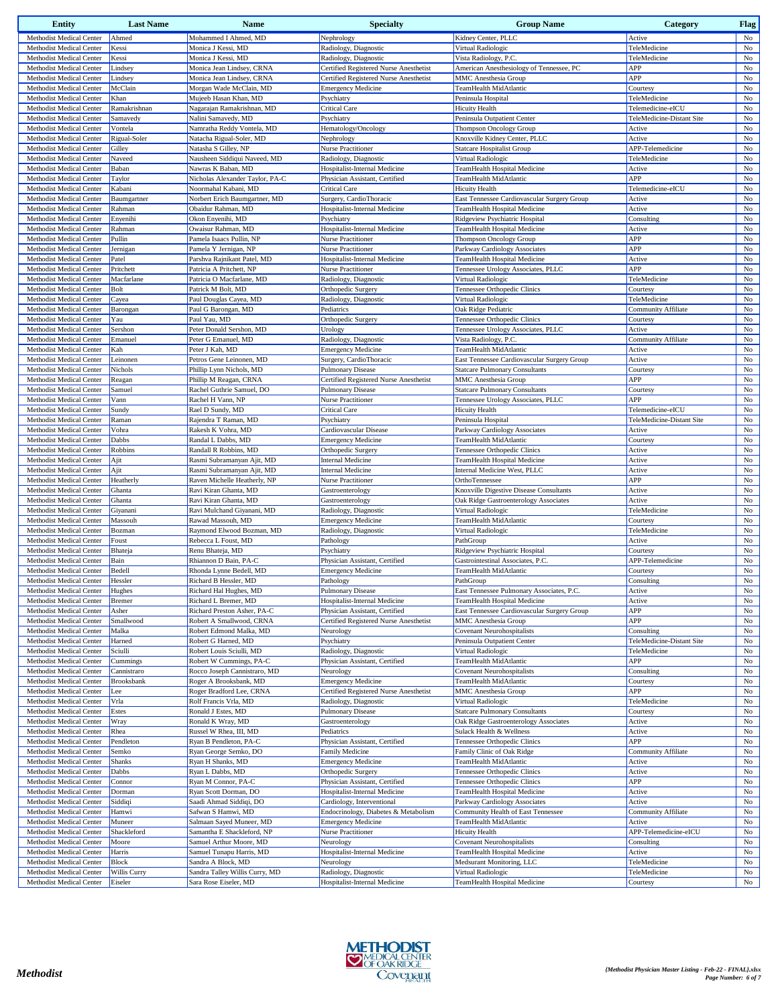| <b>Entity</b>                                        | <b>Last Name</b>      | Name                                                 | <b>Specialty</b>                                    | <b>Group Name</b>                                                  | Category                                | <b>Flag</b>                |
|------------------------------------------------------|-----------------------|------------------------------------------------------|-----------------------------------------------------|--------------------------------------------------------------------|-----------------------------------------|----------------------------|
| Methodist Medical Center                             | Ahmed                 | Mohammed I Ahmed, MD                                 | Nephrology                                          | Kidney Center, PLLC                                                | Active                                  | No                         |
| Methodist Medical Center                             | Kessi                 | Monica J Kessi, MD                                   | Radiology, Diagnostic                               | Virtual Radiologic                                                 | TeleMedicine                            | No                         |
| Methodist Medical Center                             | Kessi                 | Monica J Kessi, MD                                   | Radiology, Diagnostic                               | Vista Radiology, P.C.                                              | TeleMedicine                            | $_{\rm No}$                |
| Methodist Medical Center                             | Lindsey               | Monica Jean Lindsey, CRNA                            | Certified Registered Nurse Anesthetist              | American Anesthesiology of Tennessee, PC                           | APP                                     | $_{\rm No}$                |
| Methodist Medical Center                             | Lindsey               | Monica Jean Lindsey, CRNA                            | Certified Registered Nurse Anesthetist              | MMC Anesthesia Group                                               | APP                                     | No                         |
| Methodist Medical Center                             | McClain               | Morgan Wade McClain, MD                              | <b>Emergency Medicine</b>                           | TeamHealth MidAtlantic                                             | Courtesy                                | No                         |
| Methodist Medical Center<br>Methodist Medical Center | Khan<br>Ramakrishnan  | Mujeeb Hasan Khan, MD<br>Nagarajan Ramakrishnan, MD  | Psychiatry<br><b>Critical Care</b>                  | Peninsula Hospital<br><b>Hicuity Health</b>                        | TeleMedicine<br>Telemedicine-eICU       | $_{\rm No}$<br>$_{\rm No}$ |
| Methodist Medical Center                             | Samavedy              | Nalini Samavedy, MD                                  | Psychiatry                                          | Peninsula Outpatient Center                                        | TeleMedicine-Distant Site               | $_{\rm No}$                |
| Methodist Medical Center                             | Vontela               | Namratha Reddy Vontela, MD                           | Hematology/Oncology                                 | Thompson Oncology Group                                            | Active                                  | $_{\rm No}$                |
| Methodist Medical Center                             | Rigual-Soler          | Natacha Rigual-Soler, MD                             | Nephrology                                          | Knoxville Kidney Center, PLLC                                      | Active                                  | No                         |
| Methodist Medical Center                             | Gilley                | Natasha S Gilley, NP                                 | Nurse Practitioner                                  | <b>Statcare Hospitalist Group</b>                                  | APP-Telemedicine                        | $_{\rm No}$                |
| <b>Methodist Medical Center</b>                      | Naveed                | Nausheen Siddiqui Naveed, MD                         | Radiology, Diagnostic                               | Virtual Radiologic                                                 | TeleMedicine                            | $_{\rm No}$                |
| Methodist Medical Center                             | Baban                 | Nawras K Baban, MD                                   | Hospitalist-Internal Medicine                       | TeamHealth Hospital Medicine                                       | Active                                  | No                         |
| Methodist Medical Center                             | Taylor                | Nicholas Alexander Taylor, PA-C                      | Physician Assistant, Certified                      | TeamHealth MidAtlantic                                             | APP                                     | No                         |
| Methodist Medical Center                             | Kabani                | Noormahal Kabani, MD                                 | <b>Critical Care</b>                                | <b>Hicuity Health</b>                                              | Telemedicine-eICU                       | No                         |
| Methodist Medical Center                             | Baumgartner           | Norbert Erich Baumgartner, MD                        | Surgery, CardioThoracic                             | East Tennessee Cardiovascular Surgery Group                        | Active                                  | No                         |
| Methodist Medical Center<br>Methodist Medical Center | Rahman<br>Enyenihi    | Obaidur Rahman, MD<br>Okon Enyenihi, MD              | Hospitalist-Internal Medicine<br>Psychiatry         | TeamHealth Hospital Medicine<br>Ridgeview Psychiatric Hospital     | Active<br>Consulting                    | $_{\rm No}$<br>No          |
| Methodist Medical Center                             | Rahman                | Owaisur Rahman, MD                                   | Hospitalist-Internal Medicine                       | TeamHealth Hospital Medicine                                       | Active                                  | $_{\rm No}$                |
| Methodist Medical Center                             | Pullin                | Pamela Isaacs Pullin, NP                             | Nurse Practitioner                                  | Thompson Oncology Group                                            | APP                                     | No                         |
| Methodist Medical Center                             | Jernigan              | Pamela Y Jernigan, NP                                | <b>Nurse Practitioner</b>                           | Parkway Cardiology Associates                                      | APP                                     | $_{\rm No}$                |
| Methodist Medical Center                             | Patel                 | Parshva Rajnikant Patel, MD                          | Hospitalist-Internal Medicine                       | TeamHealth Hospital Medicine                                       | Active                                  | No                         |
| Methodist Medical Center                             | Pritchett             | Patricia A Pritchett, NP                             | <b>Nurse Practitioner</b>                           | Tennessee Urology Associates, PLLC                                 | APP                                     | No                         |
| Methodist Medical Center                             | Macfarlane            | Patricia O Macfarlane, MD                            | Radiology, Diagnostic                               | Virtual Radiologic                                                 | TeleMedicine                            | $_{\rm No}$                |
| Methodist Medical Center                             | Bolt                  | Patrick M Bolt, MD                                   | Orthopedic Surgery                                  | Tennessee Orthopedic Clinics                                       | Courtesy                                | $_{\rm No}$                |
| Methodist Medical Center                             | Cayea                 | Paul Douglas Cayea, MD                               | Radiology, Diagnostic                               | Virtual Radiologic                                                 | TeleMedicine                            | No                         |
| Methodist Medical Center                             | Barongan              | Paul G Barongan, MD                                  | Pediatrics                                          | Oak Ridge Pediatric                                                | Community Affiliate                     | No                         |
| Methodist Medical Center<br>Methodist Medical Center | Yau<br>Sershon        | Paul Yau, MD<br>Peter Donald Sershon, MD             | Orthopedic Surgery<br>Urology                       | Tennessee Orthopedic Clinics<br>Tennessee Urology Associates, PLLC | Courtesy<br>Active                      | $_{\rm No}$<br>No          |
| Methodist Medical Center                             | Emanuel               | Peter G Emanuel, MD                                  | Radiology, Diagnostic                               | Vista Radiology, P.C.                                              | Community Affiliate                     | No                         |
| Methodist Medical Center                             | Kah                   | Peter J Kah, MD                                      | <b>Emergency Medicine</b>                           | TeamHealth MidAtlantic                                             | Active                                  | $_{\rm No}$                |
| Methodist Medical Center                             | Leinonen              | Petros Gene Leinonen, MD                             | Surgery, CardioThoracic                             | East Tennessee Cardiovascular Surgery Group                        | Active                                  | $_{\rm No}$                |
| Methodist Medical Center                             | Nichols               | Phillip Lynn Nichols, MD                             | <b>Pulmonary Disease</b>                            | <b>Statcare Pulmonary Consultants</b>                              | Courtesy                                | $_{\rm No}$                |
| Methodist Medical Center                             | Reagan                | Phillip M Reagan, CRNA                               | Certified Registered Nurse Anesthetist              | MMC Anesthesia Group                                               | APP                                     | $_{\rm No}$                |
| Methodist Medical Center                             | Samuel                | Rachel Guthrie Samuel, DO                            | <b>Pulmonary Disease</b>                            | <b>Statcare Pulmonary Consultants</b>                              | Courtesy                                | No                         |
| Methodist Medical Center                             | Vann                  | Rachel H Vann, NP                                    | Nurse Practitioner                                  | Tennessee Urology Associates, PLLC                                 | APP                                     | No                         |
| Methodist Medical Center                             | Sundy                 | Rael D Sundy, MD                                     | Critical Care                                       | <b>Hicuity Health</b>                                              | Telemedicine-eICU                       | $_{\rm No}$                |
| Methodist Medical Center                             | Raman                 | Rajendra T Raman, MD                                 | Psychiatry                                          | Peninsula Hospital                                                 | TeleMedicine-Distant Site               | $_{\rm No}$                |
| Methodist Medical Center<br>Methodist Medical Center | Vohra<br>Dabbs        | Rakesh K Vohra, MD<br>Randal L Dabbs, MD             | Cardiovascular Disease<br><b>Emergency Medicine</b> | Parkway Cardiology Associates<br>TeamHealth MidAtlantic            | Active<br>Courtesy                      | No<br>No                   |
| Methodist Medical Center                             | Robbins               | Randall R Robbins, MD                                | Orthopedic Surgery                                  | Tennessee Orthopedic Clinics                                       | Active                                  | No                         |
| Methodist Medical Center                             | Ajit                  | Rasmi Subramanyan Ajit, MD                           | Internal Medicine                                   | TeamHealth Hospital Medicine                                       | Active                                  | No                         |
| Methodist Medical Center                             | Ajit                  | Rasmi Subramanyan Ajit, MD                           | Internal Medicine                                   | Internal Medicine West, PLLC                                       | Active                                  | No                         |
| Methodist Medical Center                             | Heatherly             | Raven Michelle Heatherly, NP                         | <b>Nurse Practitioner</b>                           | OrthoTennessee                                                     | APP                                     | $_{\rm No}$                |
| Methodist Medical Center                             | Ghanta                | Ravi Kiran Ghanta, MD                                | Gastroenterology                                    | Knoxville Digestive Disease Consultants                            | Active                                  | No                         |
| Methodist Medical Center                             | Ghanta                | Ravi Kiran Ghanta, MD                                | Gastroenterology                                    | Oak Ridge Gastroenterology Associates                              | Active                                  | $_{\rm No}$                |
| Methodist Medical Center                             | Giyanani              | Ravi Mulchand Giyanani, MD                           | Radiology, Diagnostic                               | Virtual Radiologic                                                 | TeleMedicine                            | No                         |
| Methodist Medical Center                             | Massouh               | Rawad Massouh, MD                                    | <b>Emergency Medicine</b>                           | TeamHealth MidAtlantic                                             | Courtesy                                | No                         |
| Methodist Medical Center<br>Methodist Medical Center | Bozman<br>Foust       | Raymond Elwood Bozman, MD<br>Rebecca L Foust, MD     | Radiology, Diagnostic<br>Pathology                  | Virtual Radiologic<br>PathGroup                                    | TeleMedicine<br>Active                  | No<br>$_{\rm No}$          |
| Methodist Medical Center                             | Bhateja               | Renu Bhateja, MD                                     | Psychiatry                                          | Ridgeview Psychiatric Hospital                                     | Courtesy                                | No                         |
| Methodist Medical Center                             | Bain                  | Rhiannon D Bain, PA-C                                | Physician Assistant, Certified                      | Gastrointestinal Associates, P.C.                                  | APP-Telemedicine                        | $_{\rm No}$                |
| Methodist Medical Center                             | Bedell                | Rhonda Lynne Bedell, MD                              | <b>Emergency Medicine</b>                           | TeamHealth MidAtlantic                                             | Courtesy                                | $_{\rm No}$                |
| <b>Methodist Medical Center</b>                      | Hessler               | Richard B Hessler, MD                                | Pathology                                           | PathGroup                                                          | Consulting                              | $_{\rm No}$                |
| Methodist Medical Center                             | Hughes                | Richard Hal Hughes, MD                               | <b>Pulmonary Disease</b>                            | East Tennessee Pulmonary Associates, P.C.                          | Active                                  | No                         |
| Methodist Medical Center                             | Bremer                | Richard L Bremer, MD                                 | Hospitalist-Internal Medicine                       | TeamHealth Hospital Medicine                                       | Active                                  | No                         |
| Methodist Medical Center                             | Asher                 | Richard Preston Asher, PA-C                          | Physician Assistant, Certified                      | East Tennessee Cardiovascular Surgery Group                        | APP                                     | $_{\rm No}$                |
| Methodist Medical Center                             | Smallwood             | Robert A Smallwood, CRNA                             | Certified Registered Nurse Anesthetist              | <b>MMC</b> Anesthesia Group                                        | APP                                     | $_{\rm No}$                |
| Methodist Medical Center                             | Malka                 | Robert Edmond Malka, MD                              | Neurology                                           | <b>Covenant Neurohospitalists</b>                                  | Consulting<br>TeleMedicine-Distant Site | No                         |
| Methodist Medical Center<br>Methodist Medical Center | Harned<br>Sciulli     | Robert G Harned, MD<br>Robert Louis Sciulli, MD      | Psychiatry<br>Radiology, Diagnostic                 | Peninsula Outpatient Center<br>Virtual Radiologic                  | TeleMedicine                            | $_{\rm No}$<br>No          |
| Methodist Medical Center                             | Cummings              | Robert W Cummings, PA-C                              | Physician Assistant, Certified                      | TeamHealth MidAtlantic                                             | APP                                     | No                         |
| Methodist Medical Center                             | Cannistraro           | Rocco Joseph Cannistraro, MD                         | Neurology                                           | <b>Covenant Neurohospitalists</b>                                  | Consulting                              | $_{\rm No}$                |
| Methodist Medical Center                             | <b>Brooksbank</b>     | Roger A Brooksbank, MD                               | <b>Emergency Medicine</b>                           | TeamHealth MidAtlantic                                             | Courtesy                                | No                         |
| Methodist Medical Center                             | Lee                   | Roger Bradford Lee, CRNA                             | Certified Registered Nurse Anesthetist              | MMC Anesthesia Group                                               | APP                                     | $_{\rm No}$                |
| Methodist Medical Center                             | Vrla                  | Rolf Francis Vrla, MD                                | Radiology, Diagnostic                               | Virtual Radiologic                                                 | TeleMedicine                            | $_{\rm No}$                |
| Methodist Medical Center                             | Estes                 | Ronald J Estes, MD                                   | Pulmonary Disease                                   | <b>Statcare Pulmonary Consultants</b>                              | Courtesy                                | $_{\rm No}$                |
| Methodist Medical Center                             | Wray                  | Ronald K Wray, MD                                    | Gastroenterology                                    | Oak Ridge Gastroenterology Associates                              | Active                                  | No                         |
| Methodist Medical Center                             | Rhea                  | Russel W Rhea, III, MD                               | Pediatrics                                          | Sulack Health & Wellness                                           | Active                                  | $_{\rm No}$                |
| Methodist Medical Center                             | Pendleton             | Ryan B Pendleton, PA-C                               | Physician Assistant, Certified                      | Tennessee Orthopedic Clinics                                       | APP                                     | $_{\rm No}$                |
| Methodist Medical Center<br>Methodist Medical Center | Semko<br>Shanks       | Ryan George Semko, DO<br>Ryan H Shanks, MD           | Family Medicine<br><b>Emergency Medicine</b>        | Family Clinic of Oak Ridge<br>TeamHealth MidAtlantic               | Community Affiliate<br>Active           | $_{\rm No}$<br>$_{\rm No}$ |
| Methodist Medical Center                             | Dabbs                 | Ryan L Dabbs, MD                                     | Orthopedic Surgery                                  | Tennessee Orthopedic Clinics                                       | Active                                  | No                         |
| Methodist Medical Center                             | Connor                | Ryan M Connor, PA-C                                  | Physician Assistant, Certified                      | Tennessee Orthopedic Clinics                                       | APP                                     | $_{\rm No}$                |
| Methodist Medical Center                             | Dorman                | Ryan Scott Dorman, DO                                | Hospitalist-Internal Medicine                       | TeamHealth Hospital Medicine                                       | Active                                  | No                         |
| Methodist Medical Center                             | Siddiqi               | Saadi Ahmad Siddiqi, DO                              | Cardiology, Interventional                          | Parkway Cardiology Associates                                      | Active                                  | $_{\rm No}$                |
| Methodist Medical Center                             | Hamwi                 | Safwan S Hamwi, MD                                   | Endocrinology, Diabetes & Metabolism                | Community Health of East Tennessee                                 | Community Affiliate                     | $_{\rm No}$                |
| Methodist Medical Center                             | Muneer                | Salmaan Sayed Muneer, MD                             | <b>Emergency Medicine</b>                           | TeamHealth MidAtlantic                                             | Active                                  | No                         |
| Methodist Medical Center                             | Shackleford           | Samantha E Shackleford, NP                           | Nurse Practitioner                                  | <b>Hicuity Health</b>                                              | APP-Telemedicine-eICU                   | No                         |
| Methodist Medical Center                             | Moore                 | Samuel Arthur Moore, MD                              | Neurology                                           | <b>Covenant Neurohospitalists</b>                                  | Consulting                              | $_{\rm No}$                |
| Methodist Medical Center                             | Harris                | Samuel Tunapu Harris, MD                             | Hospitalist-Internal Medicine                       | TeamHealth Hospital Medicine                                       | Active                                  | No                         |
| Methodist Medical Center<br>Methodist Medical Center | Block<br>Willis Curry | Sandra A Block, MD<br>Sandra Talley Willis Curry, MD | Neurology<br>Radiology, Diagnostic                  | Medsurant Monitoring, LLC<br>Virtual Radiologic                    | TeleMedicine<br>TeleMedicine            | No<br>No                   |
| Methodist Medical Center                             | Eiseler               | Sara Rose Eiseler, MD                                | Hospitalist-Internal Medicine                       | TeamHealth Hospital Medicine                                       | Courtesy                                | No                         |
|                                                      |                       |                                                      |                                                     |                                                                    |                                         |                            |